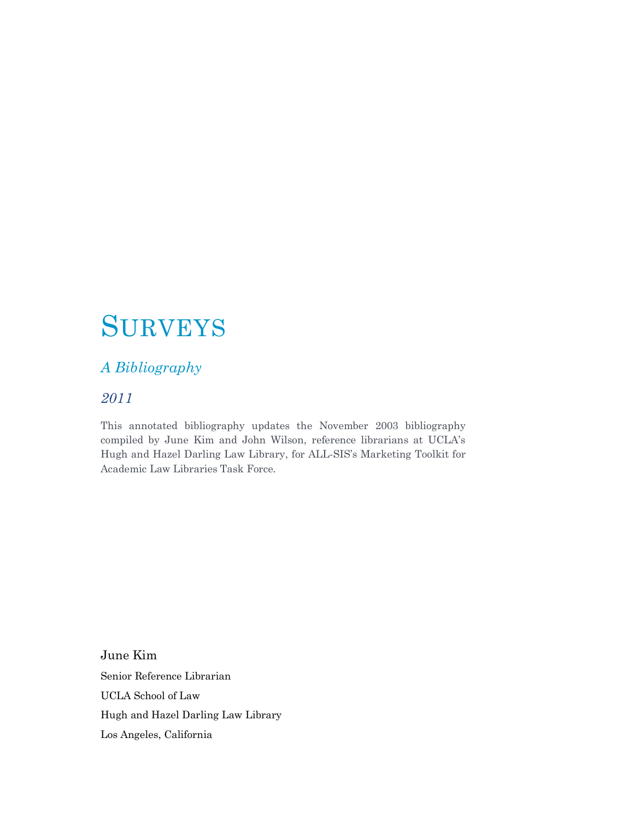## **SURVEYS**

### *A Bibliography*

#### *2011*

This annotated bibliography updates the November 2003 bibliography compiled by June Kim and John Wilson, reference librarians at UCLA's Hugh and Hazel Darling Law Library, for ALL-SIS's Marketing Toolkit for Academic Law Libraries Task Force.

June Kim Senior Reference Librarian UCLA School of Law Hugh and Hazel Darling Law Library Los Angeles, California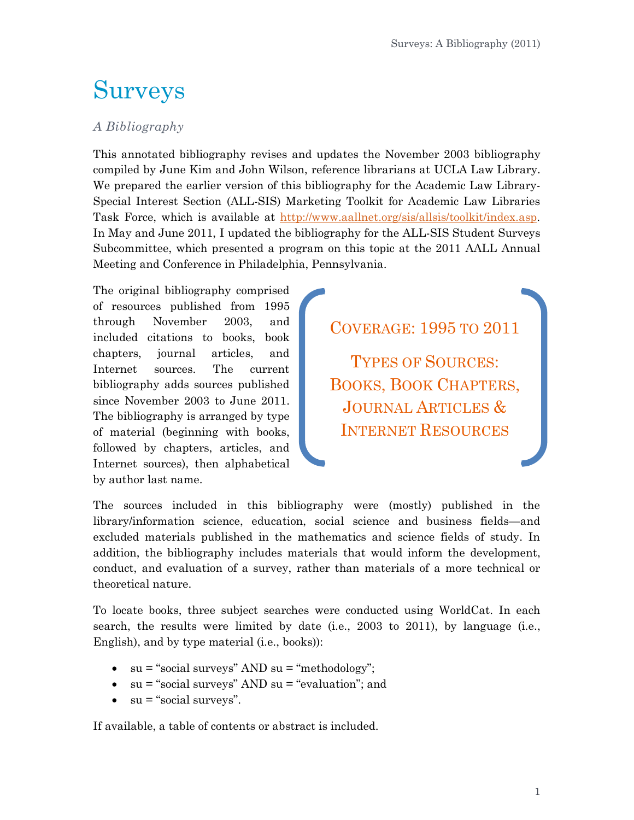### Surveys

#### *A Bibliography*

This annotated bibliography revises and updates the November 2003 bibliography compiled by June Kim and John Wilson, reference librarians at UCLA Law Library. We prepared the earlier version of this bibliography for the Academic Law Library-Special Interest Section (ALL-SIS) Marketing Toolkit for Academic Law Libraries Task Force, which is available at [http://www.aallnet.org/sis/allsis/toolkit/index.asp.](http://www.aallnet.org/sis/allsis/toolkit/index.asp) In May and June 2011, I updated the bibliography for the ALL-SIS Student Surveys Subcommittee, which presented a program on this topic at the 2011 AALL Annual Meeting and Conference in Philadelphia, Pennsylvania.

The original bibliography comprised of resources published from 1995 through November 2003, and included citations to books, book chapters, journal articles, and Internet sources. The current bibliography adds sources published since November 2003 to June 2011. The bibliography is arranged by type of material (beginning with books, followed by chapters, articles, and Internet sources), then alphabetical by author last name.



The sources included in this bibliography were (mostly) published in the library/information science, education, social science and business fields—and excluded materials published in the mathematics and science fields of study. In addition, the bibliography includes materials that would inform the development, conduct, and evaluation of a survey, rather than materials of a more technical or theoretical nature.

To locate books, three subject searches were conducted using WorldCat. In each search, the results were limited by date (i.e., 2003 to 2011), by language (i.e., English), and by type material (i.e., books)):

- $su =$  "social surveys" AND  $su =$  "methodology";
- su = "social surveys" AND su = "evaluation"; and
- $\bullet$  su = "social surveys".

If available, a table of contents or abstract is included.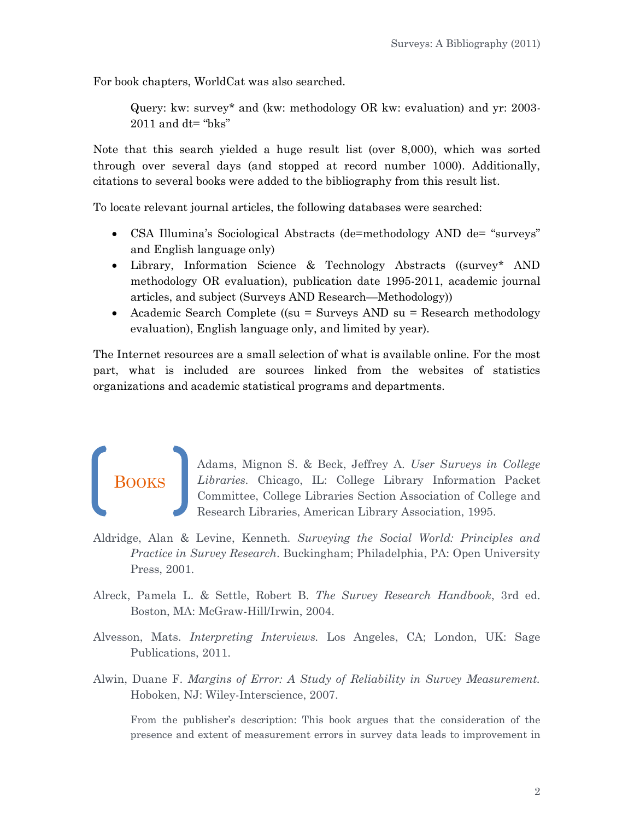For book chapters, WorldCat was also searched.

Query: kw: survey\* and (kw: methodology OR kw: evaluation) and yr: 2003-  $2011$  and dt= "bks"

Note that this search yielded a huge result list (over 8,000), which was sorted through over several days (and stopped at record number 1000). Additionally, citations to several books were added to the bibliography from this result list.

To locate relevant journal articles, the following databases were searched:

- CSA Illumina's Sociological Abstracts (de=methodology AND de= "surveys" and English language only)
- Library, Information Science & Technology Abstracts ((survey\* AND methodology OR evaluation), publication date 1995-2011, academic journal articles, and subject (Surveys AND Research—Methodology))
- Academic Search Complete ((su = Surveys AND su = Research methodology evaluation), English language only, and limited by year).

The Internet resources are a small selection of what is available online. For the most part, what is included are sources linked from the websites of statistics organizations and academic statistical programs and departments.

BOOKS

Adams, Mignon S. & Beck, Jeffrey A. *User Surveys in College Libraries*. Chicago, IL: College Library Information Packet Committee, College Libraries Section Association of College and Research Libraries, American Library Association, 1995.

- Aldridge, Alan & Levine, Kenneth. *Surveying the Social World: Principles and Practice in Survey Research*. Buckingham; Philadelphia, PA: Open University Press, 2001.
- Alreck, Pamela L. & Settle, Robert B. *The Survey Research Handbook*, 3rd ed. Boston, MA: McGraw-Hill/Irwin, 2004.
- Alvesson, Mats. *Interpreting Interviews.* Los Angeles, CA; London, UK: Sage Publications, 2011.
- Alwin, Duane F. *Margins of Error: A Study of Reliability in Survey Measurement.* Hoboken, NJ: Wiley-Interscience, 2007.

From the publisher's description: This book argues that the consideration of the presence and extent of measurement errors in survey data leads to improvement in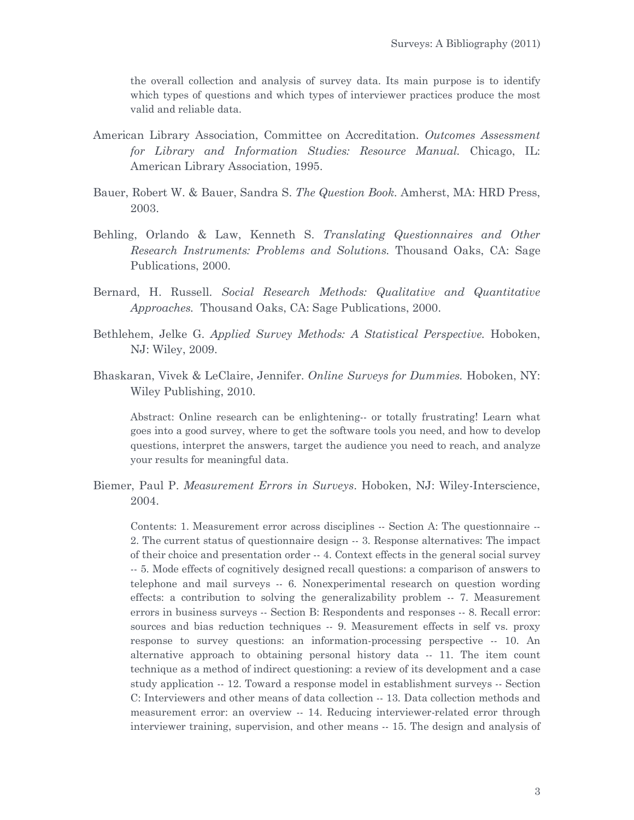the overall collection and analysis of survey data. Its main purpose is to identify which types of questions and which types of interviewer practices produce the most valid and reliable data.

- American Library Association, Committee on Accreditation. *Outcomes Assessment for Library and Information Studies: Resource Manual.* Chicago, IL: American Library Association, 1995.
- Bauer, Robert W. & Bauer, Sandra S. *The Question Book.* Amherst, MA: HRD Press, 2003.
- Behling, Orlando & Law, Kenneth S. *Translating Questionnaires and Other Research Instruments: Problems and Solutions.* Thousand Oaks, CA: Sage Publications, 2000.
- Bernard, H. Russell. *Social Research Methods: Qualitative and Quantitative Approaches.* Thousand Oaks, CA: Sage Publications, 2000.
- Bethlehem, Jelke G. *Applied Survey Methods: A Statistical Perspective.* Hoboken, NJ: Wiley, 2009.
- Bhaskaran, Vivek & LeClaire, Jennifer. *Online Surveys for Dummies.* Hoboken, NY: Wiley Publishing, 2010.

Abstract: Online research can be enlightening-- or totally frustrating! Learn what goes into a good survey, where to get the software tools you need, and how to develop questions, interpret the answers, target the audience you need to reach, and analyze your results for meaningful data.

Biemer, Paul P. *Measurement Errors in Surveys*. Hoboken, NJ: Wiley-Interscience, 2004.

Contents: 1. Measurement error across disciplines -- Section A: The questionnaire -- 2. The current status of questionnaire design -- 3. Response alternatives: The impact of their choice and presentation order -- 4. Context effects in the general social survey -- 5. Mode effects of cognitively designed recall questions: a comparison of answers to telephone and mail surveys -- 6. Nonexperimental research on question wording effects: a contribution to solving the generalizability problem -- 7. Measurement errors in business surveys -- Section B: Respondents and responses -- 8. Recall error: sources and bias reduction techniques -- 9. Measurement effects in self vs. proxy response to survey questions: an information-processing perspective -- 10. An alternative approach to obtaining personal history data -- 11. The item count technique as a method of indirect questioning: a review of its development and a case study application -- 12. Toward a response model in establishment surveys -- Section C: Interviewers and other means of data collection -- 13. Data collection methods and measurement error: an overview -- 14. Reducing interviewer-related error through interviewer training, supervision, and other means -- 15. The design and analysis of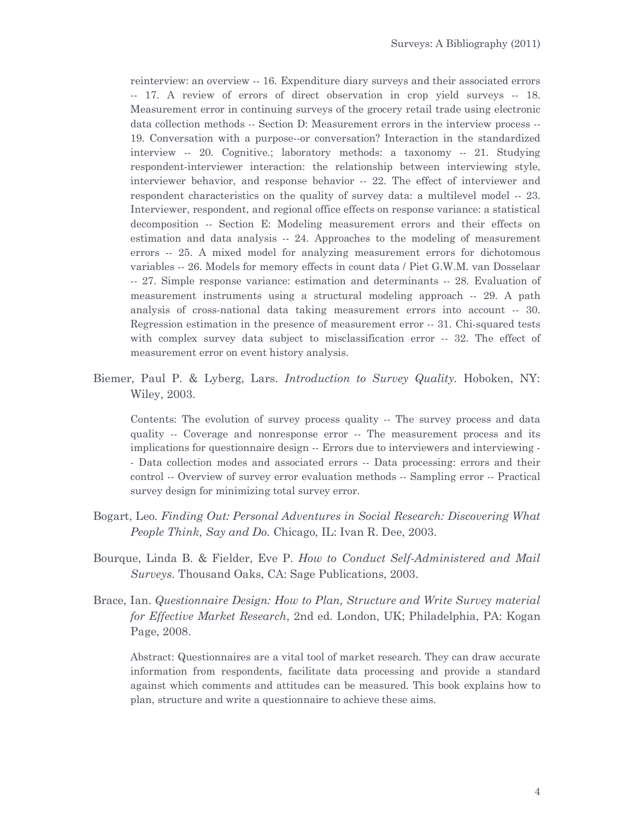reinterview: an overview -- 16. Expenditure diary surveys and their associated errors -- 17. A review of errors of direct observation in crop yield surveys -- 18. Measurement error in continuing surveys of the grocery retail trade using electronic data collection methods -- Section D: Measurement errors in the interview process -- 19. Conversation with a purpose--or conversation? Interaction in the standardized interview -- 20. Cognitive.; laboratory methods: a taxonomy -- 21. Studying respondent-interviewer interaction: the relationship between interviewing style, interviewer behavior, and response behavior -- 22. The effect of interviewer and respondent characteristics on the quality of survey data: a multilevel model -- 23. Interviewer, respondent, and regional office effects on response variance: a statistical decomposition -- Section E: Modeling measurement errors and their effects on estimation and data analysis -- 24. Approaches to the modeling of measurement errors -- 25. A mixed model for analyzing measurement errors for dichotomous variables -- 26. Models for memory effects in count data / Piet G.W.M. van Dosselaar -- 27. Simple response variance: estimation and determinants -- 28. Evaluation of measurement instruments using a structural modeling approach -- 29. A path analysis of cross-national data taking measurement errors into account -- 30. Regression estimation in the presence of measurement error -- 31. Chi-squared tests with complex survey data subject to misclassification error -- 32. The effect of measurement error on event history analysis.

Biemer, Paul P. & Lyberg, Lars. *Introduction to Survey Quality.* Hoboken, NY: Wiley, 2003.

Contents: The evolution of survey process quality -- The survey process and data quality -- Coverage and nonresponse error -- The measurement process and its implications for questionnaire design -- Errors due to interviewers and interviewing - - Data collection modes and associated errors -- Data processing: errors and their control -- Overview of survey error evaluation methods -- Sampling error -- Practical survey design for minimizing total survey error.

- Bogart, Leo. *Finding Out: Personal Adventures in Social Research: Discovering What People Think, Say and Do.* Chicago, IL: Ivan R. Dee, 2003.
- Bourque, Linda B. & Fielder, Eve P. *How to Conduct Self-Administered and Mail Surveys*. Thousand Oaks, CA: Sage Publications, 2003.
- Brace, Ian. *Questionnaire Design: How to Plan, Structure and Write Survey material for Effective Market Research*, 2nd ed. London, UK; Philadelphia, PA: Kogan Page, 2008.

Abstract: Questionnaires are a vital tool of market research. They can draw accurate information from respondents, facilitate data processing and provide a standard against which comments and attitudes can be measured. This book explains how to plan, structure and write a questionnaire to achieve these aims.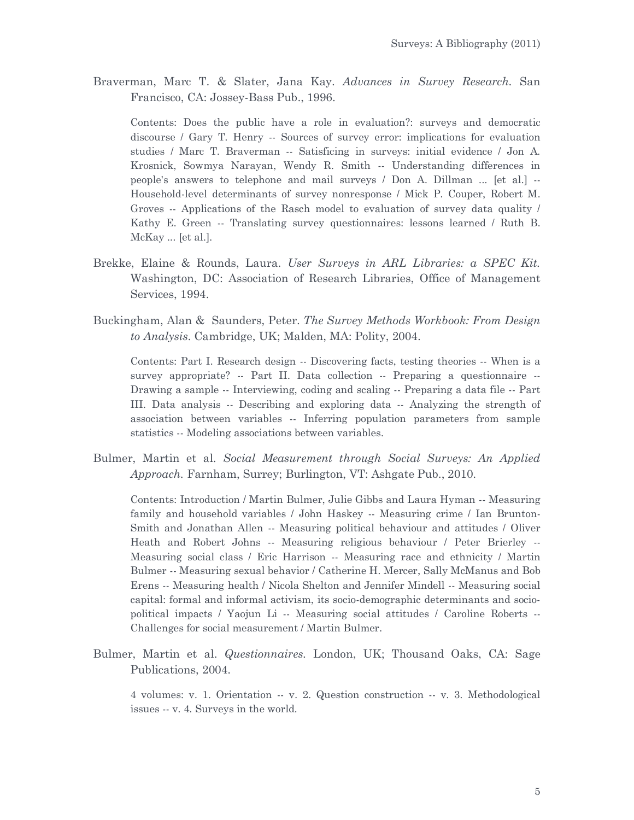Braverman, Marc T. & Slater, Jana Kay. *Advances in Survey Research.* San Francisco, CA: Jossey-Bass Pub., 1996.

Contents: Does the public have a role in evaluation?: surveys and democratic discourse / Gary T. Henry -- Sources of survey error: implications for evaluation studies / Marc T. Braverman -- Satisficing in surveys: initial evidence / Jon A. Krosnick, Sowmya Narayan, Wendy R. Smith -- Understanding differences in people's answers to telephone and mail surveys / Don A. Dillman ... [et al.] -- Household-level determinants of survey nonresponse / Mick P. Couper, Robert M. Groves -- Applications of the Rasch model to evaluation of survey data quality / Kathy E. Green -- Translating survey questionnaires: lessons learned / Ruth B. McKay ... [et al.].

- Brekke, Elaine & Rounds, Laura. *User Surveys in ARL Libraries: a SPEC Kit.* Washington, DC: Association of Research Libraries, Office of Management Services, 1994.
- Buckingham, Alan & Saunders, Peter. *The Survey Methods Workbook: From Design to Analysis*. Cambridge, UK; Malden, MA: Polity, 2004.

Contents: Part I. Research design -- Discovering facts, testing theories -- When is a survey appropriate? -- Part II. Data collection -- Preparing a questionnaire -- Drawing a sample -- Interviewing, coding and scaling -- Preparing a data file -- Part III. Data analysis -- Describing and exploring data -- Analyzing the strength of association between variables -- Inferring population parameters from sample statistics -- Modeling associations between variables.

Bulmer, Martin et al. *Social Measurement through Social Surveys: An Applied Approach.* Farnham, Surrey; Burlington, VT: Ashgate Pub., 2010.

Contents: Introduction / Martin Bulmer, Julie Gibbs and Laura Hyman -- Measuring family and household variables / John Haskey -- Measuring crime / Ian Brunton-Smith and Jonathan Allen -- Measuring political behaviour and attitudes / Oliver Heath and Robert Johns -- Measuring religious behaviour / Peter Brierley -- Measuring social class / Eric Harrison -- Measuring race and ethnicity / Martin Bulmer -- Measuring sexual behavior / Catherine H. Mercer, Sally McManus and Bob Erens -- Measuring health / Nicola Shelton and Jennifer Mindell -- Measuring social capital: formal and informal activism, its socio-demographic determinants and sociopolitical impacts / Yaojun Li -- Measuring social attitudes / Caroline Roberts -- Challenges for social measurement / Martin Bulmer.

Bulmer, Martin et al. *Questionnaires.* London, UK; Thousand Oaks, CA: Sage Publications, 2004.

4 volumes: v. 1. Orientation -- v. 2. Question construction -- v. 3. Methodological issues -- v. 4. Surveys in the world.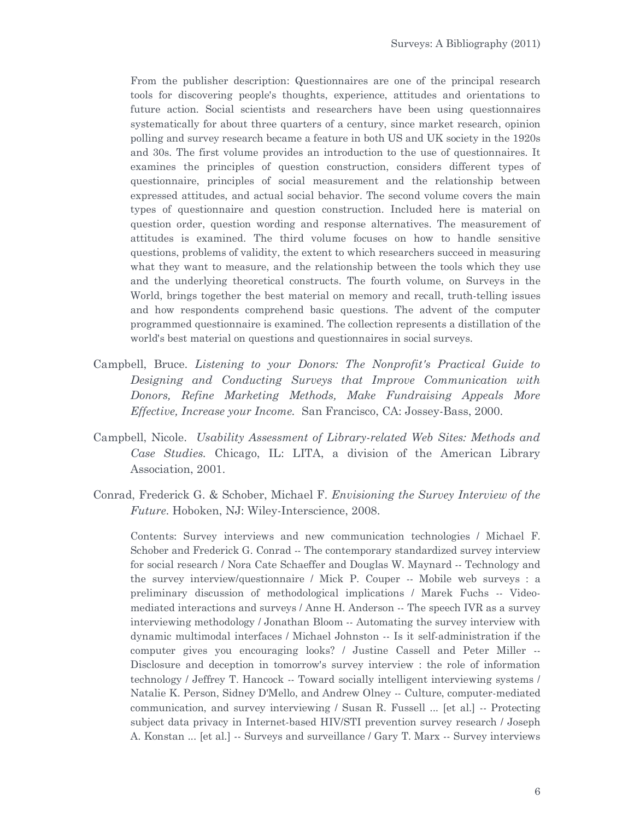From the publisher description: Questionnaires are one of the principal research tools for discovering people's thoughts, experience, attitudes and orientations to future action. Social scientists and researchers have been using questionnaires systematically for about three quarters of a century, since market research, opinion polling and survey research became a feature in both US and UK society in the 1920s and 30s. The first volume provides an introduction to the use of questionnaires. It examines the principles of question construction, considers different types of questionnaire, principles of social measurement and the relationship between expressed attitudes, and actual social behavior. The second volume covers the main types of questionnaire and question construction. Included here is material on question order, question wording and response alternatives. The measurement of attitudes is examined. The third volume focuses on how to handle sensitive questions, problems of validity, the extent to which researchers succeed in measuring what they want to measure, and the relationship between the tools which they use and the underlying theoretical constructs. The fourth volume, on Surveys in the World, brings together the best material on memory and recall, truth-telling issues and how respondents comprehend basic questions. The advent of the computer programmed questionnaire is examined. The collection represents a distillation of the world's best material on questions and questionnaires in social surveys.

- Campbell, Bruce. *Listening to your Donors: The Nonprofit's Practical Guide to Designing and Conducting Surveys that Improve Communication with Donors, Refine Marketing Methods, Make Fundraising Appeals More Effective, Increase your Income.* San Francisco, CA: Jossey-Bass, 2000.
- Campbell, Nicole. *Usability Assessment of Library-related Web Sites: Methods and Case Studies.* Chicago, IL: LITA, a division of the American Library Association, 2001.
- Conrad, Frederick G. & Schober, Michael F. *Envisioning the Survey Interview of the Future*. Hoboken, NJ: Wiley-Interscience, 2008.

Contents: Survey interviews and new communication technologies / Michael F. Schober and Frederick G. Conrad -- The contemporary standardized survey interview for social research / Nora Cate Schaeffer and Douglas W. Maynard -- Technology and the survey interview/questionnaire / Mick P. Couper -- Mobile web surveys : a preliminary discussion of methodological implications / Marek Fuchs -- Videomediated interactions and surveys / Anne H. Anderson -- The speech IVR as a survey interviewing methodology / Jonathan Bloom -- Automating the survey interview with dynamic multimodal interfaces / Michael Johnston -- Is it self-administration if the computer gives you encouraging looks? / Justine Cassell and Peter Miller -- Disclosure and deception in tomorrow's survey interview : the role of information technology / Jeffrey T. Hancock -- Toward socially intelligent interviewing systems / Natalie K. Person, Sidney D'Mello, and Andrew Olney -- Culture, computer-mediated communication, and survey interviewing / Susan R. Fussell ... [et al.] -- Protecting subject data privacy in Internet-based HIV/STI prevention survey research / Joseph A. Konstan ... [et al.] -- Surveys and surveillance / Gary T. Marx -- Survey interviews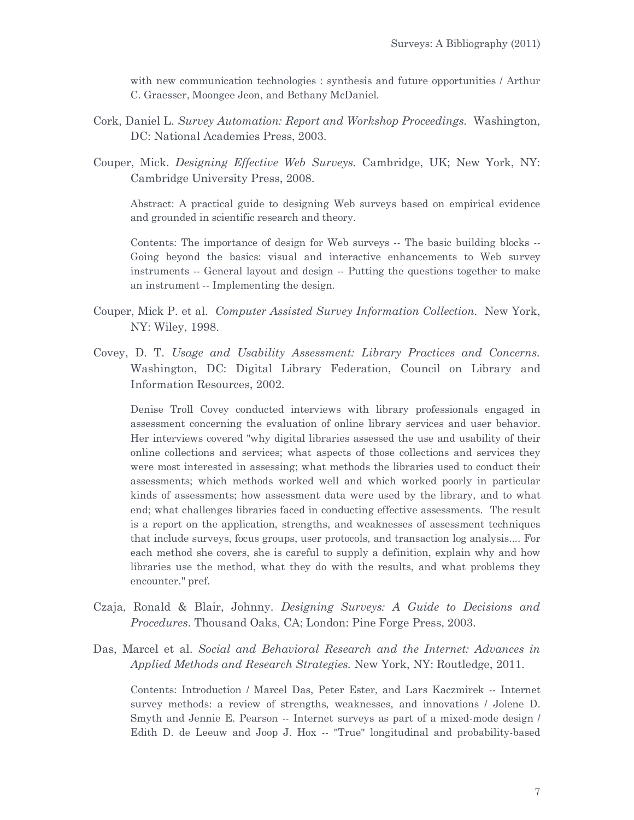with new communication technologies : synthesis and future opportunities / Arthur C. Graesser, Moongee Jeon, and Bethany McDaniel.

- Cork, Daniel L. *Survey Automation: Report and Workshop Proceedings.* Washington, DC: National Academies Press, 2003.
- Couper, Mick. *Designing Effective Web Surveys.* Cambridge, UK; New York, NY: Cambridge University Press, 2008.

Abstract: A practical guide to designing Web surveys based on empirical evidence and grounded in scientific research and theory.

Contents: The importance of design for Web surveys -- The basic building blocks -- Going beyond the basics: visual and interactive enhancements to Web survey instruments -- General layout and design -- Putting the questions together to make an instrument -- Implementing the design.

- Couper, Mick P. et al. *Computer Assisted Survey Information Collection.* New York, NY: Wiley, 1998.
- Covey, D. T. *Usage and Usability Assessment: Library Practices and Concerns.* Washington, DC: Digital Library Federation, Council on Library and Information Resources, 2002.

Denise Troll Covey conducted interviews with library professionals engaged in assessment concerning the evaluation of online library services and user behavior. Her interviews covered "why digital libraries assessed the use and usability of their online collections and services; what aspects of those collections and services they were most interested in assessing; what methods the libraries used to conduct their assessments; which methods worked well and which worked poorly in particular kinds of assessments; how assessment data were used by the library, and to what end; what challenges libraries faced in conducting effective assessments. The result is a report on the application, strengths, and weaknesses of assessment techniques that include surveys, focus groups, user protocols, and transaction log analysis.... For each method she covers, she is careful to supply a definition, explain why and how libraries use the method, what they do with the results, and what problems they encounter." pref.

- Czaja, Ronald & Blair, Johnny. *Designing Surveys: A Guide to Decisions and Procedures*. Thousand Oaks, CA; London: Pine Forge Press, 2003.
- Das, Marcel et al. *Social and Behavioral Research and the Internet: Advances in Applied Methods and Research Strategies.* New York, NY: Routledge, 2011.

Contents: Introduction / Marcel Das, Peter Ester, and Lars Kaczmirek -- Internet survey methods: a review of strengths, weaknesses, and innovations / Jolene D. Smyth and Jennie E. Pearson -- Internet surveys as part of a mixed-mode design / Edith D. de Leeuw and Joop J. Hox -- "True" longitudinal and probability-based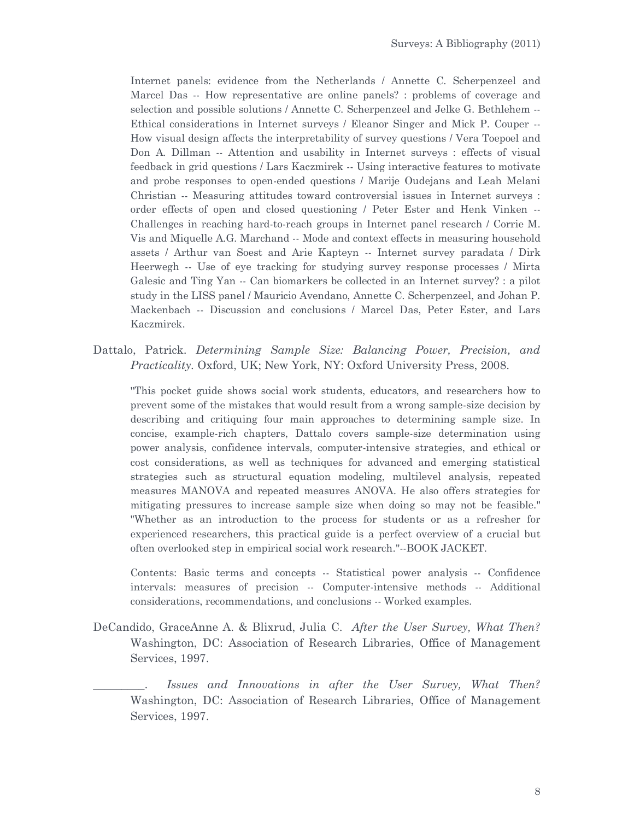Internet panels: evidence from the Netherlands / Annette C. Scherpenzeel and Marcel Das -- How representative are online panels? : problems of coverage and selection and possible solutions / Annette C. Scherpenzeel and Jelke G. Bethlehem -- Ethical considerations in Internet surveys / Eleanor Singer and Mick P. Couper -- How visual design affects the interpretability of survey questions / Vera Toepoel and Don A. Dillman -- Attention and usability in Internet surveys : effects of visual feedback in grid questions / Lars Kaczmirek -- Using interactive features to motivate and probe responses to open-ended questions / Marije Oudejans and Leah Melani Christian -- Measuring attitudes toward controversial issues in Internet surveys : order effects of open and closed questioning / Peter Ester and Henk Vinken -- Challenges in reaching hard-to-reach groups in Internet panel research / Corrie M. Vis and Miquelle A.G. Marchand -- Mode and context effects in measuring household assets / Arthur van Soest and Arie Kapteyn -- Internet survey paradata / Dirk Heerwegh -- Use of eye tracking for studying survey response processes / Mirta Galesic and Ting Yan -- Can biomarkers be collected in an Internet survey? : a pilot study in the LISS panel / Mauricio Avendano, Annette C. Scherpenzeel, and Johan P. Mackenbach -- Discussion and conclusions / Marcel Das, Peter Ester, and Lars Kaczmirek.

Dattalo, Patrick. *Determining Sample Size: Balancing Power, Precision, and Practicality.* Oxford, UK; New York, NY: Oxford University Press, 2008.

"This pocket guide shows social work students, educators, and researchers how to prevent some of the mistakes that would result from a wrong sample-size decision by describing and critiquing four main approaches to determining sample size. In concise, example-rich chapters, Dattalo covers sample-size determination using power analysis, confidence intervals, computer-intensive strategies, and ethical or cost considerations, as well as techniques for advanced and emerging statistical strategies such as structural equation modeling, multilevel analysis, repeated measures MANOVA and repeated measures ANOVA. He also offers strategies for mitigating pressures to increase sample size when doing so may not be feasible." "Whether as an introduction to the process for students or as a refresher for experienced researchers, this practical guide is a perfect overview of a crucial but often overlooked step in empirical social work research."--BOOK JACKET.

Contents: Basic terms and concepts -- Statistical power analysis -- Confidence intervals: measures of precision -- Computer-intensive methods -- Additional considerations, recommendations, and conclusions -- Worked examples.

- DeCandido, GraceAnne A. & Blixrud, Julia C. *After the User Survey, What Then?* Washington, DC: Association of Research Libraries, Office of Management Services, 1997.
	- \_\_\_\_\_\_\_\_\_. *Issues and Innovations in after the User Survey, What Then?* Washington, DC: Association of Research Libraries, Office of Management Services, 1997.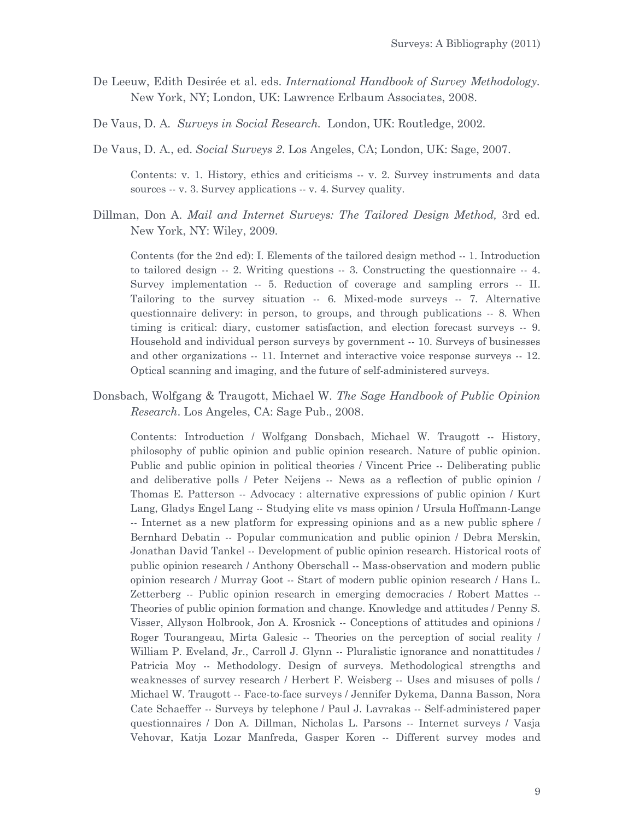- De Leeuw, Edith Desirée et al. eds. *International Handbook of Survey Methodology.* New York, NY; London, UK: Lawrence Erlbaum Associates, 2008.
- De Vaus, D. A. *Surveys in Social Research.* London, UK: Routledge, 2002.
- De Vaus, D. A., ed. *Social Surveys 2*. Los Angeles, CA; London, UK: Sage, 2007.

Contents: v. 1. History, ethics and criticisms -- v. 2. Survey instruments and data sources -- v. 3. Survey applications -- v. 4. Survey quality.

Dillman, Don A. *Mail and Internet Surveys: The Tailored Design Method,* 3rd ed. New York, NY: Wiley, 2009.

Contents (for the 2nd ed): I. Elements of the tailored design method -- 1. Introduction to tailored design -- 2. Writing questions -- 3. Constructing the questionnaire -- 4. Survey implementation -- 5. Reduction of coverage and sampling errors -- II. Tailoring to the survey situation -- 6. Mixed-mode surveys -- 7. Alternative questionnaire delivery: in person, to groups, and through publications -- 8. When timing is critical: diary, customer satisfaction, and election forecast surveys -- 9. Household and individual person surveys by government -- 10. Surveys of businesses and other organizations -- 11. Internet and interactive voice response surveys -- 12. Optical scanning and imaging, and the future of self-administered surveys.

Donsbach, Wolfgang & Traugott, Michael W. *The Sage Handbook of Public Opinion Research*. Los Angeles, CA: Sage Pub., 2008.

Contents: Introduction / Wolfgang Donsbach, Michael W. Traugott -- History, philosophy of public opinion and public opinion research. Nature of public opinion. Public and public opinion in political theories / Vincent Price -- Deliberating public and deliberative polls / Peter Neijens -- News as a reflection of public opinion / Thomas E. Patterson -- Advocacy : alternative expressions of public opinion / Kurt Lang, Gladys Engel Lang -- Studying elite vs mass opinion / Ursula Hoffmann-Lange -- Internet as a new platform for expressing opinions and as a new public sphere / Bernhard Debatin -- Popular communication and public opinion / Debra Merskin, Jonathan David Tankel -- Development of public opinion research. Historical roots of public opinion research / Anthony Oberschall -- Mass-observation and modern public opinion research / Murray Goot -- Start of modern public opinion research / Hans L. Zetterberg -- Public opinion research in emerging democracies / Robert Mattes -- Theories of public opinion formation and change. Knowledge and attitudes / Penny S. Visser, Allyson Holbrook, Jon A. Krosnick -- Conceptions of attitudes and opinions / Roger Tourangeau, Mirta Galesic -- Theories on the perception of social reality / William P. Eveland, Jr., Carroll J. Glynn -- Pluralistic ignorance and nonattitudes / Patricia Moy -- Methodology. Design of surveys. Methodological strengths and weaknesses of survey research / Herbert F. Weisberg -- Uses and misuses of polls / Michael W. Traugott -- Face-to-face surveys / Jennifer Dykema, Danna Basson, Nora Cate Schaeffer -- Surveys by telephone / Paul J. Lavrakas -- Self-administered paper questionnaires / Don A. Dillman, Nicholas L. Parsons -- Internet surveys / Vasja Vehovar, Katja Lozar Manfreda, Gasper Koren -- Different survey modes and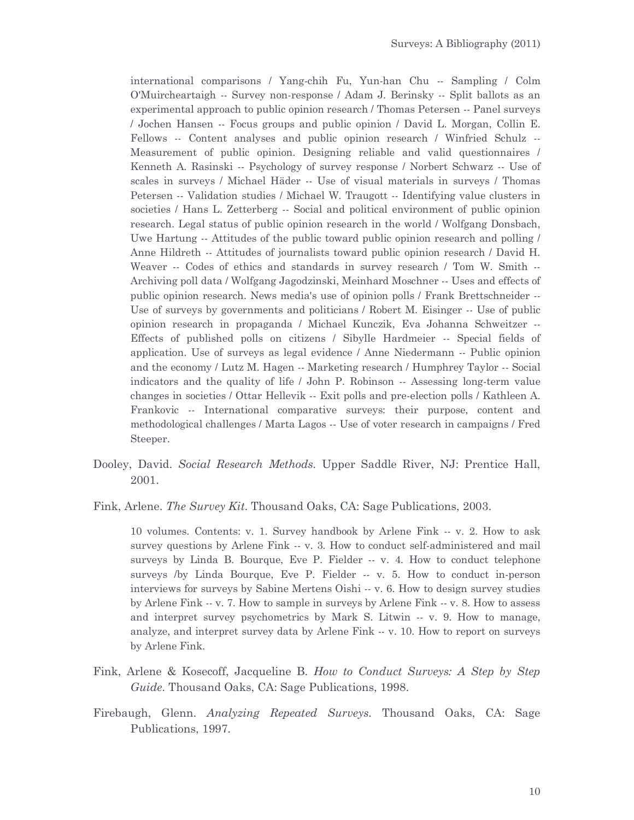international comparisons / Yang-chih Fu, Yun-han Chu -- Sampling / Colm O'Muircheartaigh -- Survey non-response / Adam J. Berinsky -- Split ballots as an experimental approach to public opinion research / Thomas Petersen -- Panel surveys / Jochen Hansen -- Focus groups and public opinion / David L. Morgan, Collin E. Fellows -- Content analyses and public opinion research / Winfried Schulz -- Measurement of public opinion. Designing reliable and valid questionnaires / Kenneth A. Rasinski -- Psychology of survey response / Norbert Schwarz -- Use of scales in surveys / Michael Häder -- Use of visual materials in surveys / Thomas Petersen -- Validation studies / Michael W. Traugott -- Identifying value clusters in societies / Hans L. Zetterberg -- Social and political environment of public opinion research. Legal status of public opinion research in the world / Wolfgang Donsbach, Uwe Hartung -- Attitudes of the public toward public opinion research and polling / Anne Hildreth -- Attitudes of journalists toward public opinion research / David H. Weaver -- Codes of ethics and standards in survey research / Tom W. Smith -- Archiving poll data / Wolfgang Jagodzinski, Meinhard Moschner -- Uses and effects of public opinion research. News media's use of opinion polls / Frank Brettschneider -- Use of surveys by governments and politicians / Robert M. Eisinger -- Use of public opinion research in propaganda / Michael Kunczik, Eva Johanna Schweitzer -- Effects of published polls on citizens / Sibylle Hardmeier -- Special fields of application. Use of surveys as legal evidence / Anne Niedermann -- Public opinion and the economy / Lutz M. Hagen -- Marketing research / Humphrey Taylor -- Social indicators and the quality of life / John P. Robinson -- Assessing long-term value changes in societies / Ottar Hellevik -- Exit polls and pre-election polls / Kathleen A. Frankovic -- International comparative surveys: their purpose, content and methodological challenges / Marta Lagos -- Use of voter research in campaigns / Fred Steeper.

- Dooley, David. *Social Research Methods.* Upper Saddle River, NJ: Prentice Hall, 2001.
- Fink, Arlene. *The Survey Kit*. Thousand Oaks, CA: Sage Publications, 2003.

10 volumes. Contents: v. 1. Survey handbook by Arlene Fink -- v. 2. How to ask survey questions by Arlene Fink -- v. 3. How to conduct self-administered and mail surveys by Linda B. Bourque, Eve P. Fielder -- v. 4. How to conduct telephone surveys /by Linda Bourque, Eve P. Fielder -- v. 5. How to conduct in-person interviews for surveys by Sabine Mertens Oishi -- v. 6. How to design survey studies by Arlene Fink -- v. 7. How to sample in surveys by Arlene Fink -- v. 8. How to assess and interpret survey psychometrics by Mark S. Litwin -- v. 9. How to manage, analyze, and interpret survey data by Arlene Fink -- v. 10. How to report on surveys by Arlene Fink.

- Fink, Arlene & Kosecoff, Jacqueline B. *How to Conduct Surveys: A Step by Step Guide*. Thousand Oaks, CA: Sage Publications, 1998.
- Firebaugh, Glenn. *Analyzing Repeated Surveys.* Thousand Oaks, CA: Sage Publications, 1997.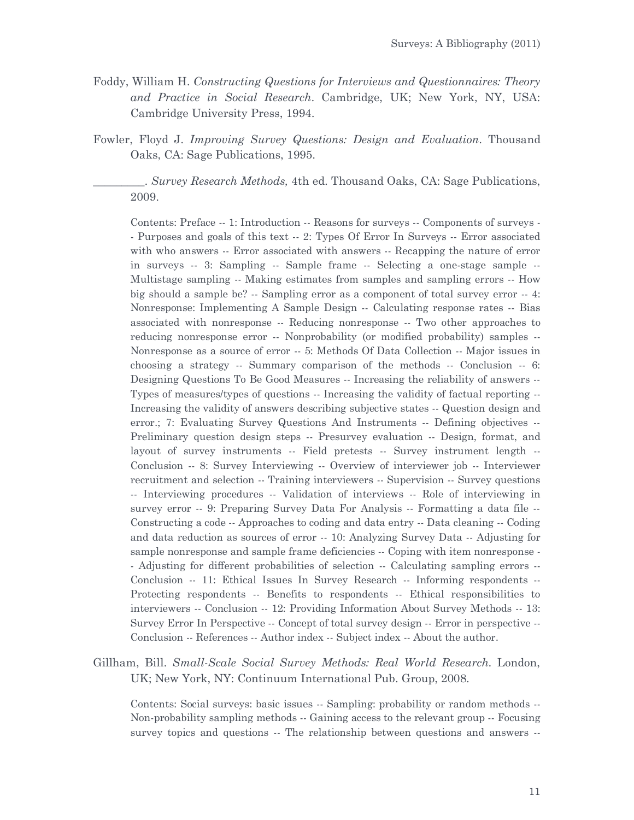- Foddy, William H. *Constructing Questions for Interviews and Questionnaires: Theory and Practice in Social Research*. Cambridge, UK; New York, NY, USA: Cambridge University Press, 1994.
- Fowler, Floyd J. *Improving Survey Questions: Design and Evaluation*. Thousand Oaks, CA: Sage Publications, 1995.

\_\_\_\_\_\_\_\_\_. *Survey Research Methods,* 4th ed. Thousand Oaks, CA: Sage Publications, 2009.

Contents: Preface -- 1: Introduction -- Reasons for surveys -- Components of surveys - - Purposes and goals of this text -- 2: Types Of Error In Surveys -- Error associated with who answers -- Error associated with answers -- Recapping the nature of error in surveys -- 3: Sampling -- Sample frame -- Selecting a one-stage sample -- Multistage sampling -- Making estimates from samples and sampling errors -- How big should a sample be? -- Sampling error as a component of total survey error -- 4: Nonresponse: Implementing A Sample Design -- Calculating response rates -- Bias associated with nonresponse -- Reducing nonresponse -- Two other approaches to reducing nonresponse error -- Nonprobability (or modified probability) samples -- Nonresponse as a source of error -- 5: Methods Of Data Collection -- Major issues in choosing a strategy -- Summary comparison of the methods -- Conclusion -- 6: Designing Questions To Be Good Measures -- Increasing the reliability of answers -- Types of measures/types of questions -- Increasing the validity of factual reporting -- Increasing the validity of answers describing subjective states -- Question design and error.; 7: Evaluating Survey Questions And Instruments -- Defining objectives -- Preliminary question design steps -- Presurvey evaluation -- Design, format, and layout of survey instruments -- Field pretests -- Survey instrument length -- Conclusion -- 8: Survey Interviewing -- Overview of interviewer job -- Interviewer recruitment and selection -- Training interviewers -- Supervision -- Survey questions -- Interviewing procedures -- Validation of interviews -- Role of interviewing in survey error -- 9: Preparing Survey Data For Analysis -- Formatting a data file -- Constructing a code -- Approaches to coding and data entry -- Data cleaning -- Coding and data reduction as sources of error -- 10: Analyzing Survey Data -- Adjusting for sample nonresponse and sample frame deficiencies -- Coping with item nonresponse -- Adjusting for different probabilities of selection -- Calculating sampling errors -- Conclusion -- 11: Ethical Issues In Survey Research -- Informing respondents -- Protecting respondents -- Benefits to respondents -- Ethical responsibilities to interviewers -- Conclusion -- 12: Providing Information About Survey Methods -- 13: Survey Error In Perspective -- Concept of total survey design -- Error in perspective -- Conclusion -- References -- Author index -- Subject index -- About the author.

Gillham, Bill. *Small-Scale Social Survey Methods: Real World Research.* London, UK; New York, NY: Continuum International Pub. Group, 2008.

Contents: Social surveys: basic issues -- Sampling: probability or random methods -- Non-probability sampling methods -- Gaining access to the relevant group -- Focusing survey topics and questions -- The relationship between questions and answers --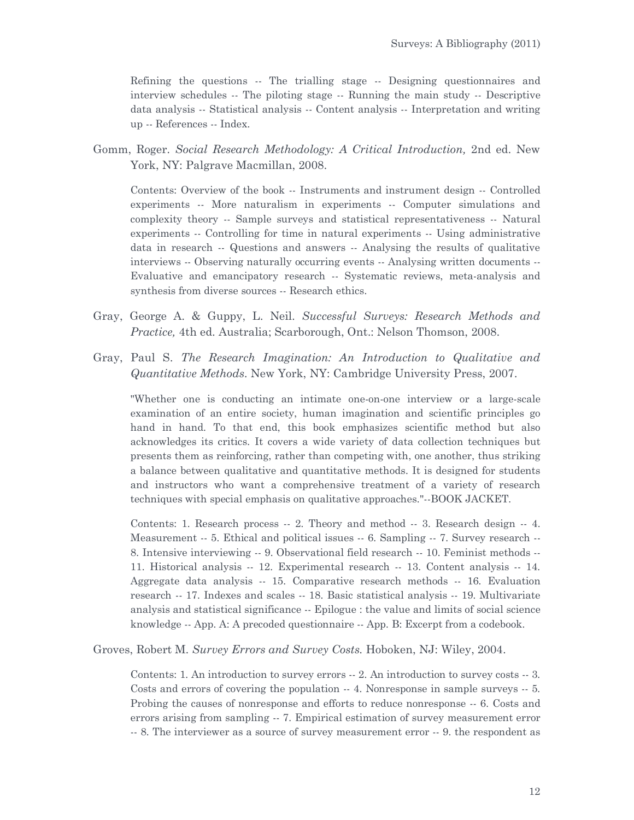Refining the questions -- The trialling stage -- Designing questionnaires and interview schedules -- The piloting stage -- Running the main study -- Descriptive data analysis -- Statistical analysis -- Content analysis -- Interpretation and writing up -- References -- Index.

Gomm, Roger. *Social Research Methodology: A Critical Introduction,* 2nd ed. New York, NY: Palgrave Macmillan, 2008.

Contents: Overview of the book -- Instruments and instrument design -- Controlled experiments -- More naturalism in experiments -- Computer simulations and complexity theory -- Sample surveys and statistical representativeness -- Natural experiments -- Controlling for time in natural experiments -- Using administrative data in research -- Questions and answers -- Analysing the results of qualitative interviews -- Observing naturally occurring events -- Analysing written documents -- Evaluative and emancipatory research -- Systematic reviews, meta-analysis and synthesis from diverse sources -- Research ethics.

- Gray, George A. & Guppy, L. Neil. *Successful Surveys: Research Methods and Practice,* 4th ed. Australia; Scarborough, Ont.: Nelson Thomson, 2008.
- Gray, Paul S. *The Research Imagination: An Introduction to Qualitative and Quantitative Methods*. New York, NY: Cambridge University Press, 2007.

"Whether one is conducting an intimate one-on-one interview or a large-scale examination of an entire society, human imagination and scientific principles go hand in hand. To that end, this book emphasizes scientific method but also acknowledges its critics. It covers a wide variety of data collection techniques but presents them as reinforcing, rather than competing with, one another, thus striking a balance between qualitative and quantitative methods. It is designed for students and instructors who want a comprehensive treatment of a variety of research techniques with special emphasis on qualitative approaches."--BOOK JACKET.

Contents: 1. Research process -- 2. Theory and method -- 3. Research design -- 4. Measurement -- 5. Ethical and political issues -- 6. Sampling -- 7. Survey research -- 8. Intensive interviewing -- 9. Observational field research -- 10. Feminist methods -- 11. Historical analysis -- 12. Experimental research -- 13. Content analysis -- 14. Aggregate data analysis -- 15. Comparative research methods -- 16. Evaluation research -- 17. Indexes and scales -- 18. Basic statistical analysis -- 19. Multivariate analysis and statistical significance -- Epilogue : the value and limits of social science knowledge -- App. A: A precoded questionnaire -- App. B: Excerpt from a codebook.

Groves, Robert M. *Survey Errors and Survey Costs.* Hoboken, NJ: Wiley, 2004.

Contents: 1. An introduction to survey errors -- 2. An introduction to survey costs -- 3. Costs and errors of covering the population -- 4. Nonresponse in sample surveys -- 5. Probing the causes of nonresponse and efforts to reduce nonresponse -- 6. Costs and errors arising from sampling -- 7. Empirical estimation of survey measurement error -- 8. The interviewer as a source of survey measurement error -- 9. the respondent as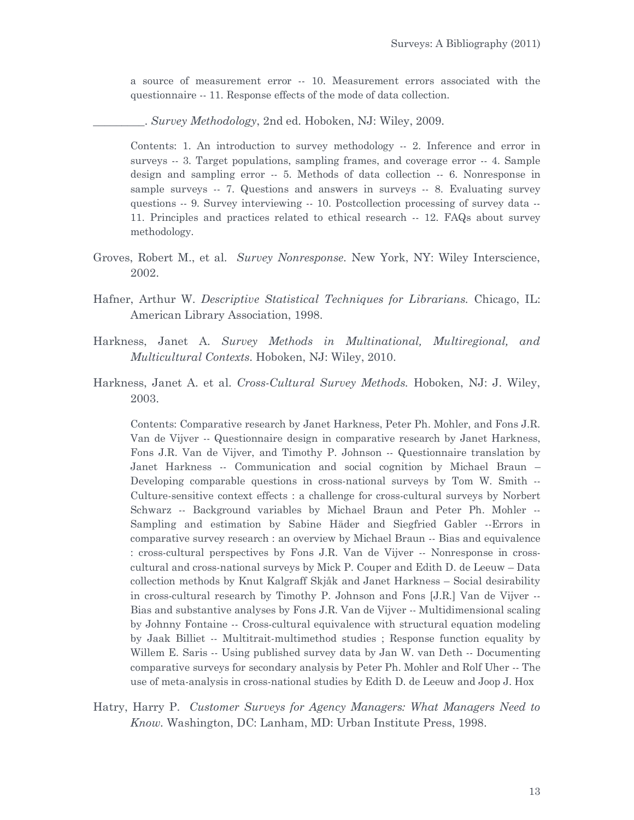a source of measurement error -- 10. Measurement errors associated with the questionnaire -- 11. Response effects of the mode of data collection.

\_\_\_\_\_\_\_\_\_. *Survey Methodology*, 2nd ed. Hoboken, NJ: Wiley, 2009.

Contents: 1. An introduction to survey methodology -- 2. Inference and error in surveys -- 3. Target populations, sampling frames, and coverage error -- 4. Sample design and sampling error -- 5. Methods of data collection -- 6. Nonresponse in sample surveys -- 7. Questions and answers in surveys -- 8. Evaluating survey questions -- 9. Survey interviewing -- 10. Postcollection processing of survey data -- 11. Principles and practices related to ethical research -- 12. FAQs about survey methodology.

- Groves, Robert M., et al. *Survey Nonresponse*. New York, NY: Wiley Interscience, 2002.
- Hafner, Arthur W. *Descriptive Statistical Techniques for Librarians.* Chicago, IL: American Library Association, 1998.
- Harkness, Janet A. *Survey Methods in Multinational, Multiregional, and Multicultural Contexts*. Hoboken, NJ: Wiley, 2010.
- Harkness, Janet A. et al. *Cross-Cultural Survey Methods.* Hoboken, NJ: J. Wiley, 2003.

Contents: Comparative research by Janet Harkness, Peter Ph. Mohler, and Fons J.R. Van de Vijver -- Questionnaire design in comparative research by Janet Harkness, Fons J.R. Van de Vijver, and Timothy P. Johnson -- Questionnaire translation by Janet Harkness -- Communication and social cognition by Michael Braun – Developing comparable questions in cross-national surveys by Tom W. Smith -- Culture-sensitive context effects : a challenge for cross-cultural surveys by Norbert Schwarz -- Background variables by Michael Braun and Peter Ph. Mohler -- Sampling and estimation by Sabine Häder and Siegfried Gabler --Errors in comparative survey research : an overview by Michael Braun -- Bias and equivalence : cross-cultural perspectives by Fons J.R. Van de Vijver -- Nonresponse in crosscultural and cross-national surveys by Mick P. Couper and Edith D. de Leeuw – Data collection methods by Knut Kalgraff Skjåk and Janet Harkness – Social desirability in cross-cultural research by Timothy P. Johnson and Fons [J.R.] Van de Vijver -- Bias and substantive analyses by Fons J.R. Van de Vijver -- Multidimensional scaling by Johnny Fontaine -- Cross-cultural equivalence with structural equation modeling by Jaak Billiet -- Multitrait-multimethod studies ; Response function equality by Willem E. Saris -- Using published survey data by Jan W. van Deth -- Documenting comparative surveys for secondary analysis by Peter Ph. Mohler and Rolf Uher -- The use of meta-analysis in cross-national studies by Edith D. de Leeuw and Joop J. Hox

Hatry, Harry P. *Customer Surveys for Agency Managers: What Managers Need to Know.* Washington, DC: Lanham, MD: Urban Institute Press, 1998.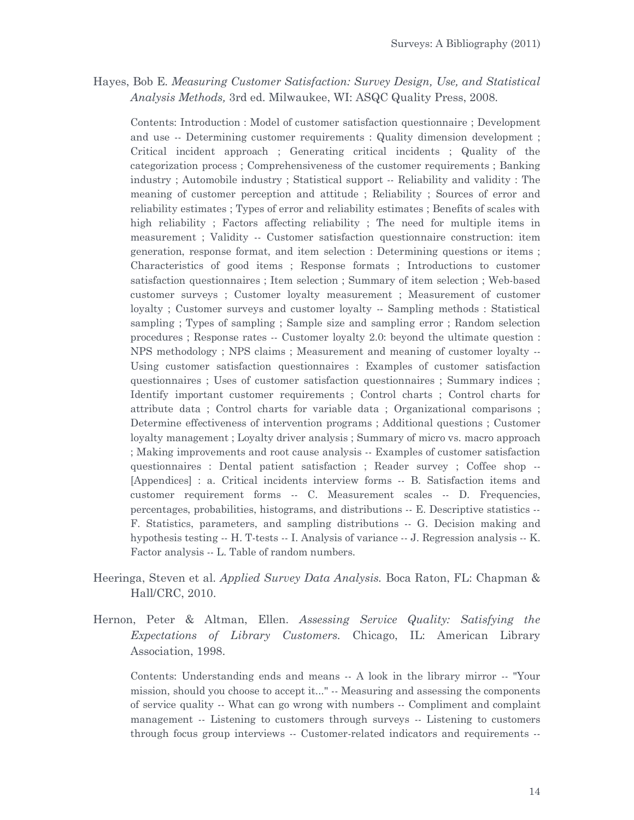#### Hayes, Bob E. *Measuring Customer Satisfaction: Survey Design, Use, and Statistical Analysis Methods,* 3rd ed. Milwaukee, WI: ASQC Quality Press, 2008.

Contents: Introduction : Model of customer satisfaction questionnaire ; Development and use -- Determining customer requirements : Quality dimension development ; Critical incident approach ; Generating critical incidents ; Quality of the categorization process ; Comprehensiveness of the customer requirements ; Banking industry ; Automobile industry ; Statistical support -- Reliability and validity : The meaning of customer perception and attitude ; Reliability ; Sources of error and reliability estimates ; Types of error and reliability estimates ; Benefits of scales with high reliability ; Factors affecting reliability ; The need for multiple items in measurement ; Validity -- Customer satisfaction questionnaire construction: item generation, response format, and item selection : Determining questions or items ; Characteristics of good items ; Response formats ; Introductions to customer satisfaction questionnaires ; Item selection ; Summary of item selection ; Web-based customer surveys ; Customer loyalty measurement ; Measurement of customer loyalty ; Customer surveys and customer loyalty -- Sampling methods : Statistical sampling ; Types of sampling ; Sample size and sampling error ; Random selection procedures ; Response rates -- Customer loyalty 2.0: beyond the ultimate question : NPS methodology ; NPS claims ; Measurement and meaning of customer loyalty -- Using customer satisfaction questionnaires : Examples of customer satisfaction questionnaires ; Uses of customer satisfaction questionnaires ; Summary indices ; Identify important customer requirements ; Control charts ; Control charts for attribute data ; Control charts for variable data ; Organizational comparisons ; Determine effectiveness of intervention programs ; Additional questions ; Customer loyalty management ; Loyalty driver analysis ; Summary of micro vs. macro approach ; Making improvements and root cause analysis -- Examples of customer satisfaction questionnaires : Dental patient satisfaction ; Reader survey ; Coffee shop -- [Appendices] : a. Critical incidents interview forms -- B. Satisfaction items and customer requirement forms -- C. Measurement scales -- D. Frequencies, percentages, probabilities, histograms, and distributions -- E. Descriptive statistics -- F. Statistics, parameters, and sampling distributions -- G. Decision making and hypothesis testing -- H. T-tests -- I. Analysis of variance -- J. Regression analysis -- K. Factor analysis -- L. Table of random numbers.

- Heeringa, Steven et al. *Applied Survey Data Analysis.* Boca Raton, FL: Chapman & Hall/CRC, 2010.
- Hernon, Peter & Altman, Ellen. *Assessing Service Quality: Satisfying the Expectations of Library Customers.* Chicago, IL: American Library Association, 1998.

Contents: Understanding ends and means -- A look in the library mirror -- "Your mission, should you choose to accept it..." -- Measuring and assessing the components of service quality -- What can go wrong with numbers -- Compliment and complaint management -- Listening to customers through surveys -- Listening to customers through focus group interviews -- Customer-related indicators and requirements --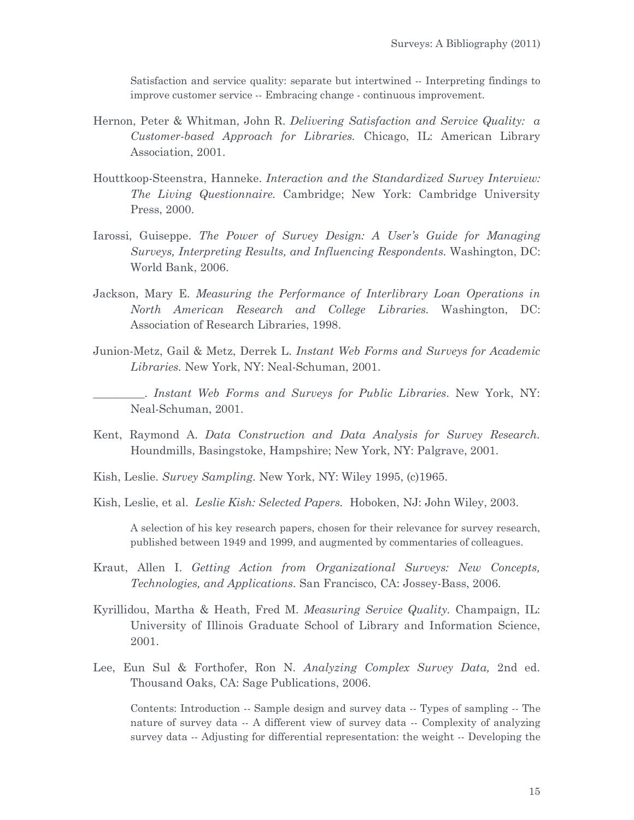Satisfaction and service quality: separate but intertwined -- Interpreting findings to improve customer service -- Embracing change - continuous improvement.

- Hernon, Peter & Whitman, John R. *Delivering Satisfaction and Service Quality: a Customer-based Approach for Libraries.* Chicago, IL: American Library Association, 2001.
- Houttkoop-Steenstra, Hanneke. *Interaction and the Standardized Survey Interview: The Living Questionnaire.* Cambridge; New York: Cambridge University Press, 2000.
- Iarossi, Guiseppe. *The Power of Survey Design: A User's Guide for Managing Surveys, Interpreting Results, and Influencing Respondents.* Washington, DC: World Bank, 2006.
- Jackson, Mary E. *Measuring the Performance of Interlibrary Loan Operations in North American Research and College Libraries.* Washington, DC: Association of Research Libraries, 1998.
- Junion-Metz, Gail & Metz, Derrek L. *Instant Web Forms and Surveys for Academic Libraries.* New York, NY: Neal-Schuman, 2001.

\_\_\_\_\_\_\_\_\_. *Instant Web Forms and Surveys for Public Libraries*. New York, NY: Neal-Schuman, 2001.

- Kent, Raymond A. *Data Construction and Data Analysis for Survey Research.* Houndmills, Basingstoke, Hampshire; New York, NY: Palgrave, 2001.
- Kish, Leslie. *Survey Sampling.* New York, NY: Wiley 1995, (c)1965.
- Kish, Leslie, et al. *Leslie Kish: Selected Papers.* Hoboken, NJ: John Wiley, 2003.

A selection of his key research papers, chosen for their relevance for survey research, published between 1949 and 1999, and augmented by commentaries of colleagues.

- Kraut, Allen I. *Getting Action from Organizational Surveys: New Concepts, Technologies, and Applications*. San Francisco, CA: Jossey-Bass, 2006.
- Kyrillidou, Martha & Heath, Fred M. *Measuring Service Quality.* Champaign, IL: University of Illinois Graduate School of Library and Information Science, 2001.
- Lee, Eun Sul & Forthofer, Ron N. *Analyzing Complex Survey Data,* 2nd ed. Thousand Oaks, CA: Sage Publications, 2006.

Contents: Introduction -- Sample design and survey data -- Types of sampling -- The nature of survey data -- A different view of survey data -- Complexity of analyzing survey data -- Adjusting for differential representation: the weight -- Developing the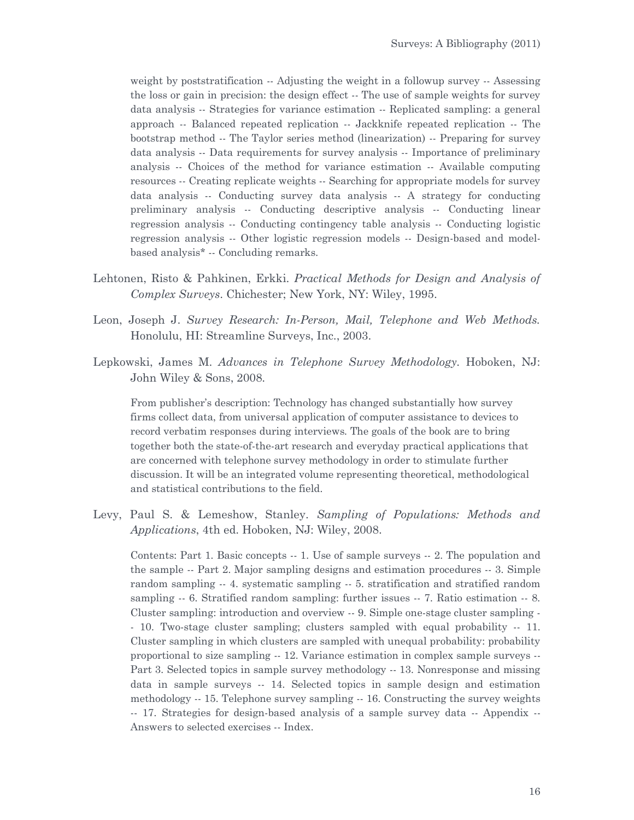weight by poststratification -- Adjusting the weight in a followup survey -- Assessing the loss or gain in precision: the design effect -- The use of sample weights for survey data analysis -- Strategies for variance estimation -- Replicated sampling: a general approach -- Balanced repeated replication -- Jackknife repeated replication -- The bootstrap method -- The Taylor series method (linearization) -- Preparing for survey data analysis -- Data requirements for survey analysis -- Importance of preliminary analysis -- Choices of the method for variance estimation -- Available computing resources -- Creating replicate weights -- Searching for appropriate models for survey data analysis -- Conducting survey data analysis -- A strategy for conducting preliminary analysis -- Conducting descriptive analysis -- Conducting linear regression analysis -- Conducting contingency table analysis -- Conducting logistic regression analysis -- Other logistic regression models -- Design-based and modelbased analysis\* -- Concluding remarks.

- Lehtonen, Risto & Pahkinen, Erkki. *Practical Methods for Design and Analysis of Complex Surveys*. Chichester; New York, NY: Wiley, 1995.
- Leon, Joseph J. *Survey Research: In-Person, Mail, Telephone and Web Methods.* Honolulu, HI: Streamline Surveys, Inc., 2003.
- Lepkowski, James M. *Advances in Telephone Survey Methodology.* Hoboken, NJ: John Wiley & Sons, 2008.

From publisher's description: Technology has changed substantially how survey firms collect data, from universal application of computer assistance to devices to record verbatim responses during interviews. The goals of the book are to bring together both the state-of-the-art research and everyday practical applications that are concerned with telephone survey methodology in order to stimulate further discussion. It will be an integrated volume representing theoretical, methodological and statistical contributions to the field.

Levy, Paul S. & Lemeshow, Stanley. *Sampling of Populations: Methods and Applications*, 4th ed. Hoboken, NJ: Wiley, 2008.

Contents: Part 1. Basic concepts -- 1. Use of sample surveys -- 2. The population and the sample -- Part 2. Major sampling designs and estimation procedures -- 3. Simple random sampling -- 4. systematic sampling -- 5. stratification and stratified random sampling  $-6$ . Stratified random sampling: further issues  $-7$ . Ratio estimation  $-8$ . Cluster sampling: introduction and overview -- 9. Simple one-stage cluster sampling - - 10. Two-stage cluster sampling; clusters sampled with equal probability -- 11. Cluster sampling in which clusters are sampled with unequal probability: probability proportional to size sampling -- 12. Variance estimation in complex sample surveys -- Part 3. Selected topics in sample survey methodology  $-13$ . Nonresponse and missing data in sample surveys -- 14. Selected topics in sample design and estimation methodology -- 15. Telephone survey sampling -- 16. Constructing the survey weights -- 17. Strategies for design-based analysis of a sample survey data -- Appendix -- Answers to selected exercises -- Index.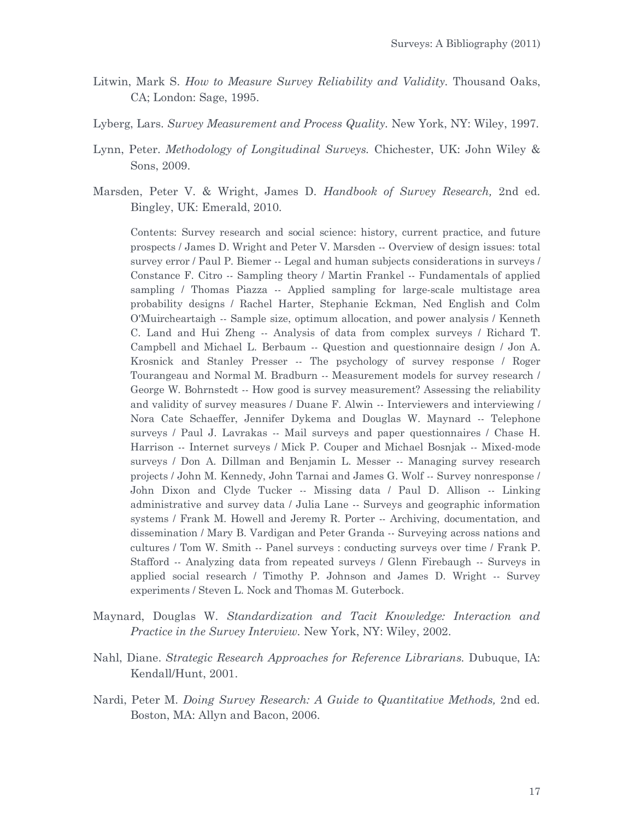- Litwin, Mark S. *How to Measure Survey Reliability and Validity.* Thousand Oaks, CA; London: Sage, 1995.
- Lyberg, Lars. *Survey Measurement and Process Quality.* New York, NY: Wiley, 1997.
- Lynn, Peter. *Methodology of Longitudinal Surveys.* Chichester, UK: John Wiley & Sons, 2009.
- Marsden, Peter V. & Wright, James D. *Handbook of Survey Research,* 2nd ed. Bingley, UK: Emerald, 2010.

Contents: Survey research and social science: history, current practice, and future prospects / James D. Wright and Peter V. Marsden -- Overview of design issues: total survey error / Paul P. Biemer -- Legal and human subjects considerations in surveys / Constance F. Citro -- Sampling theory / Martin Frankel -- Fundamentals of applied sampling / Thomas Piazza -- Applied sampling for large-scale multistage area probability designs / Rachel Harter, Stephanie Eckman, Ned English and Colm O'Muircheartaigh -- Sample size, optimum allocation, and power analysis / Kenneth C. Land and Hui Zheng -- Analysis of data from complex surveys / Richard T. Campbell and Michael L. Berbaum -- Question and questionnaire design / Jon A. Krosnick and Stanley Presser -- The psychology of survey response / Roger Tourangeau and Normal M. Bradburn -- Measurement models for survey research / George W. Bohrnstedt -- How good is survey measurement? Assessing the reliability and validity of survey measures / Duane F. Alwin -- Interviewers and interviewing / Nora Cate Schaeffer, Jennifer Dykema and Douglas W. Maynard -- Telephone surveys / Paul J. Lavrakas -- Mail surveys and paper questionnaires / Chase H. Harrison -- Internet surveys / Mick P. Couper and Michael Bosnjak -- Mixed-mode surveys / Don A. Dillman and Benjamin L. Messer -- Managing survey research projects / John M. Kennedy, John Tarnai and James G. Wolf -- Survey nonresponse / John Dixon and Clyde Tucker -- Missing data / Paul D. Allison -- Linking administrative and survey data / Julia Lane -- Surveys and geographic information systems / Frank M. Howell and Jeremy R. Porter -- Archiving, documentation, and dissemination / Mary B. Vardigan and Peter Granda -- Surveying across nations and cultures / Tom W. Smith -- Panel surveys : conducting surveys over time / Frank P. Stafford -- Analyzing data from repeated surveys / Glenn Firebaugh -- Surveys in applied social research / Timothy P. Johnson and James D. Wright -- Survey experiments / Steven L. Nock and Thomas M. Guterbock.

- Maynard, Douglas W. *Standardization and Tacit Knowledge: Interaction and Practice in the Survey Interview.* New York, NY: Wiley, 2002.
- Nahl, Diane. *Strategic Research Approaches for Reference Librarians.* Dubuque, IA: Kendall/Hunt, 2001.
- Nardi, Peter M. *Doing Survey Research: A Guide to Quantitative Methods,* 2nd ed. Boston, MA: Allyn and Bacon, 2006.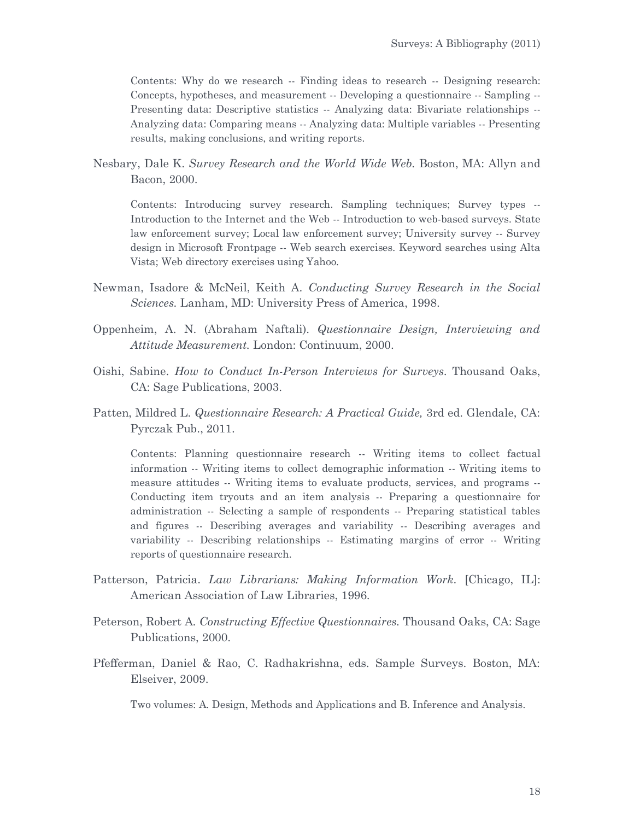Contents: Why do we research -- Finding ideas to research -- Designing research: Concepts, hypotheses, and measurement -- Developing a questionnaire -- Sampling -- Presenting data: Descriptive statistics -- Analyzing data: Bivariate relationships -- Analyzing data: Comparing means -- Analyzing data: Multiple variables -- Presenting results, making conclusions, and writing reports.

Nesbary, Dale K. *Survey Research and the World Wide Web.* Boston, MA: Allyn and Bacon, 2000.

Contents: Introducing survey research. Sampling techniques; Survey types -- Introduction to the Internet and the Web -- Introduction to web-based surveys. State law enforcement survey; Local law enforcement survey; University survey -- Survey design in Microsoft Frontpage -- Web search exercises. Keyword searches using Alta Vista; Web directory exercises using Yahoo.

- Newman, Isadore & McNeil, Keith A. *Conducting Survey Research in the Social Sciences.* Lanham, MD: University Press of America, 1998.
- Oppenheim, A. N. (Abraham Naftali). *Questionnaire Design, Interviewing and Attitude Measurement.* London: Continuum, 2000.
- Oishi, Sabine. *How to Conduct In-Person Interviews for Surveys*. Thousand Oaks, CA: Sage Publications, 2003.
- Patten, Mildred L. *Questionnaire Research: A Practical Guide,* 3rd ed. Glendale, CA: Pyrczak Pub., 2011.

Contents: Planning questionnaire research -- Writing items to collect factual information -- Writing items to collect demographic information -- Writing items to measure attitudes -- Writing items to evaluate products, services, and programs -- Conducting item tryouts and an item analysis -- Preparing a questionnaire for administration -- Selecting a sample of respondents -- Preparing statistical tables and figures -- Describing averages and variability -- Describing averages and variability -- Describing relationships -- Estimating margins of error -- Writing reports of questionnaire research.

- Patterson, Patricia. *Law Librarians: Making Information Work.* [Chicago, IL]: American Association of Law Libraries, 1996.
- Peterson, Robert A. *Constructing Effective Questionnaires.* Thousand Oaks, CA: Sage Publications, 2000.
- Pfefferman, Daniel & Rao, C. Radhakrishna, eds. Sample Surveys. Boston, MA: Elseiver, 2009.

Two volumes: A. Design, Methods and Applications and B. Inference and Analysis.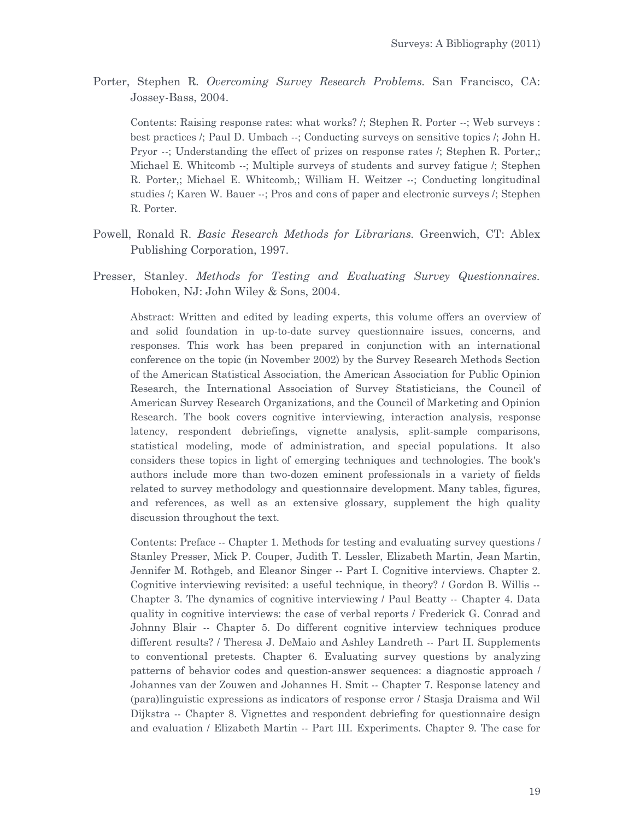Porter, Stephen R. *Overcoming Survey Research Problems.* San Francisco, CA: Jossey-Bass, 2004.

Contents: Raising response rates: what works? /; Stephen R. Porter --; Web surveys : best practices /; Paul D. Umbach --; Conducting surveys on sensitive topics /; John H. Pryor --; Understanding the effect of prizes on response rates /; Stephen R. Porter,; Michael E. Whitcomb --; Multiple surveys of students and survey fatigue /; Stephen R. Porter,; Michael E. Whitcomb,; William H. Weitzer --; Conducting longitudinal studies /; Karen W. Bauer --; Pros and cons of paper and electronic surveys /; Stephen R. Porter.

- Powell, Ronald R. *Basic Research Methods for Librarians.* Greenwich, CT: Ablex Publishing Corporation, 1997.
- Presser, Stanley. *Methods for Testing and Evaluating Survey Questionnaires.* Hoboken, NJ: John Wiley & Sons, 2004.

Abstract: Written and edited by leading experts, this volume offers an overview of and solid foundation in up-to-date survey questionnaire issues, concerns, and responses. This work has been prepared in conjunction with an international conference on the topic (in November 2002) by the Survey Research Methods Section of the American Statistical Association, the American Association for Public Opinion Research, the International Association of Survey Statisticians, the Council of American Survey Research Organizations, and the Council of Marketing and Opinion Research. The book covers cognitive interviewing, interaction analysis, response latency, respondent debriefings, vignette analysis, split-sample comparisons, statistical modeling, mode of administration, and special populations. It also considers these topics in light of emerging techniques and technologies. The book's authors include more than two-dozen eminent professionals in a variety of fields related to survey methodology and questionnaire development. Many tables, figures, and references, as well as an extensive glossary, supplement the high quality discussion throughout the text.

Contents: Preface -- Chapter 1. Methods for testing and evaluating survey questions / Stanley Presser, Mick P. Couper, Judith T. Lessler, Elizabeth Martin, Jean Martin, Jennifer M. Rothgeb, and Eleanor Singer -- Part I. Cognitive interviews. Chapter 2. Cognitive interviewing revisited: a useful technique, in theory? / Gordon B. Willis -- Chapter 3. The dynamics of cognitive interviewing / Paul Beatty -- Chapter 4. Data quality in cognitive interviews: the case of verbal reports / Frederick G. Conrad and Johnny Blair -- Chapter 5. Do different cognitive interview techniques produce different results? / Theresa J. DeMaio and Ashley Landreth -- Part II. Supplements to conventional pretests. Chapter 6. Evaluating survey questions by analyzing patterns of behavior codes and question-answer sequences: a diagnostic approach / Johannes van der Zouwen and Johannes H. Smit -- Chapter 7. Response latency and (para)linguistic expressions as indicators of response error / Stasja Draisma and Wil Dijkstra -- Chapter 8. Vignettes and respondent debriefing for questionnaire design and evaluation / Elizabeth Martin -- Part III. Experiments. Chapter 9. The case for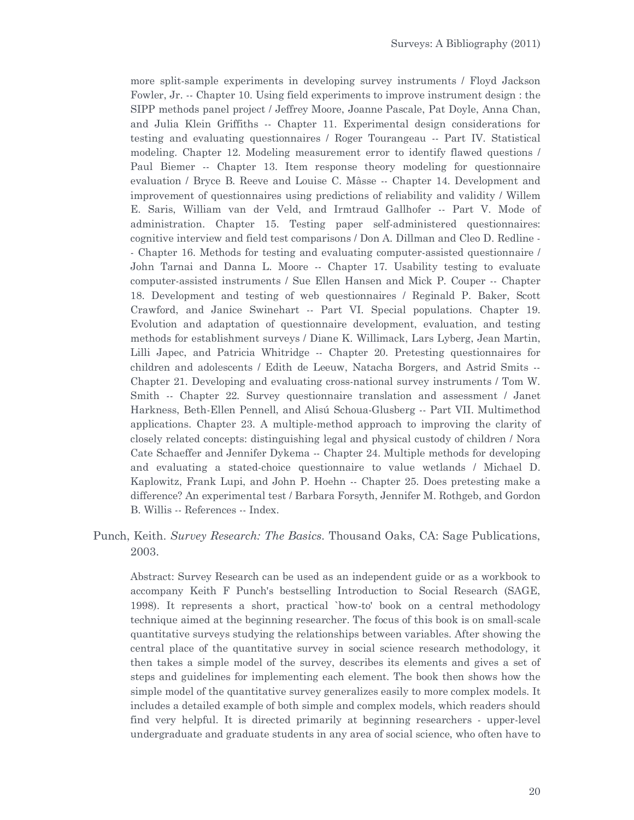more split-sample experiments in developing survey instruments / Floyd Jackson Fowler, Jr. -- Chapter 10. Using field experiments to improve instrument design : the SIPP methods panel project / Jeffrey Moore, Joanne Pascale, Pat Doyle, Anna Chan, and Julia Klein Griffiths -- Chapter 11. Experimental design considerations for testing and evaluating questionnaires / Roger Tourangeau -- Part IV. Statistical modeling. Chapter 12. Modeling measurement error to identify flawed questions / Paul Biemer -- Chapter 13. Item response theory modeling for questionnaire evaluation / Bryce B. Reeve and Louise C. Mâsse -- Chapter 14. Development and improvement of questionnaires using predictions of reliability and validity / Willem E. Saris, William van der Veld, and Irmtraud Gallhofer -- Part V. Mode of administration. Chapter 15. Testing paper self-administered questionnaires: cognitive interview and field test comparisons / Don A. Dillman and Cleo D. Redline - - Chapter 16. Methods for testing and evaluating computer-assisted questionnaire / John Tarnai and Danna L. Moore -- Chapter 17. Usability testing to evaluate computer-assisted instruments / Sue Ellen Hansen and Mick P. Couper -- Chapter 18. Development and testing of web questionnaires / Reginald P. Baker, Scott Crawford, and Janice Swinehart -- Part VI. Special populations. Chapter 19. Evolution and adaptation of questionnaire development, evaluation, and testing methods for establishment surveys / Diane K. Willimack, Lars Lyberg, Jean Martin, Lilli Japec, and Patricia Whitridge -- Chapter 20. Pretesting questionnaires for children and adolescents / Edith de Leeuw, Natacha Borgers, and Astrid Smits -- Chapter 21. Developing and evaluating cross-national survey instruments / Tom W. Smith -- Chapter 22. Survey questionnaire translation and assessment / Janet Harkness, Beth-Ellen Pennell, and Alisú Schoua-Glusberg -- Part VII. Multimethod applications. Chapter 23. A multiple-method approach to improving the clarity of closely related concepts: distinguishing legal and physical custody of children / Nora Cate Schaeffer and Jennifer Dykema -- Chapter 24. Multiple methods for developing and evaluating a stated-choice questionnaire to value wetlands / Michael D. Kaplowitz, Frank Lupi, and John P. Hoehn -- Chapter 25. Does pretesting make a difference? An experimental test / Barbara Forsyth, Jennifer M. Rothgeb, and Gordon B. Willis -- References -- Index.

Punch, Keith. *Survey Research: The Basics*. Thousand Oaks, CA: Sage Publications, 2003.

Abstract: Survey Research can be used as an independent guide or as a workbook to accompany Keith F Punch's bestselling Introduction to Social Research (SAGE, 1998). It represents a short, practical `how-to' book on a central methodology technique aimed at the beginning researcher. The focus of this book is on small-scale quantitative surveys studying the relationships between variables. After showing the central place of the quantitative survey in social science research methodology, it then takes a simple model of the survey, describes its elements and gives a set of steps and guidelines for implementing each element. The book then shows how the simple model of the quantitative survey generalizes easily to more complex models. It includes a detailed example of both simple and complex models, which readers should find very helpful. It is directed primarily at beginning researchers - upper-level undergraduate and graduate students in any area of social science, who often have to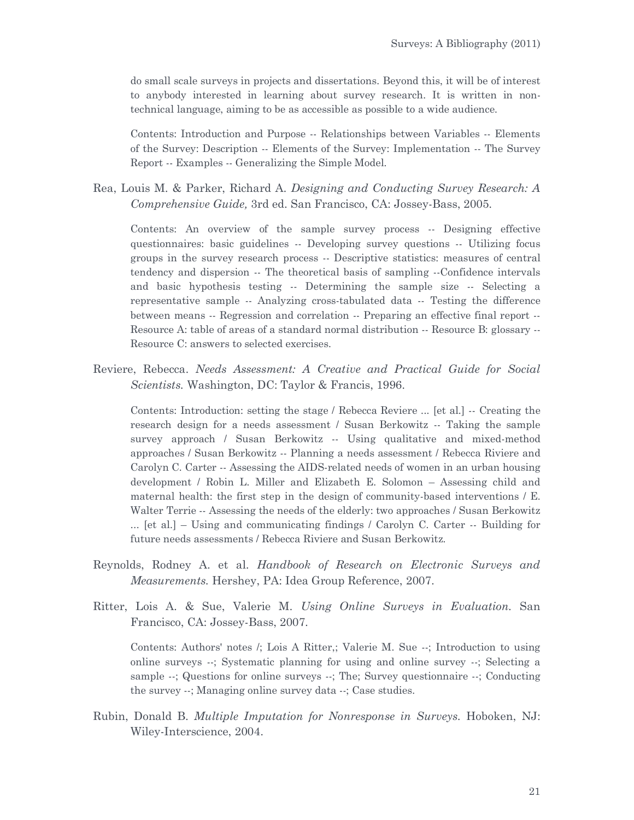do small scale surveys in projects and dissertations. Beyond this, it will be of interest to anybody interested in learning about survey research. It is written in nontechnical language, aiming to be as accessible as possible to a wide audience.

Contents: Introduction and Purpose -- Relationships between Variables -- Elements of the Survey: Description -- Elements of the Survey: Implementation -- The Survey Report -- Examples -- Generalizing the Simple Model.

Rea, Louis M. & Parker, Richard A. *Designing and Conducting Survey Research: A Comprehensive Guide,* 3rd ed. San Francisco, CA: Jossey-Bass, 2005.

Contents: An overview of the sample survey process -- Designing effective questionnaires: basic guidelines -- Developing survey questions -- Utilizing focus groups in the survey research process -- Descriptive statistics: measures of central tendency and dispersion -- The theoretical basis of sampling --Confidence intervals and basic hypothesis testing -- Determining the sample size -- Selecting a representative sample -- Analyzing cross-tabulated data -- Testing the difference between means -- Regression and correlation -- Preparing an effective final report -- Resource A: table of areas of a standard normal distribution -- Resource B: glossary -- Resource C: answers to selected exercises.

Reviere, Rebecca. *Needs Assessment: A Creative and Practical Guide for Social Scientists.* Washington, DC: Taylor & Francis, 1996.

Contents: Introduction: setting the stage / Rebecca Reviere ... [et al.] -- Creating the research design for a needs assessment / Susan Berkowitz -- Taking the sample survey approach / Susan Berkowitz -- Using qualitative and mixed-method approaches / Susan Berkowitz -- Planning a needs assessment / Rebecca Riviere and Carolyn C. Carter -- Assessing the AIDS-related needs of women in an urban housing development / Robin L. Miller and Elizabeth E. Solomon – Assessing child and maternal health: the first step in the design of community-based interventions / E. Walter Terrie -- Assessing the needs of the elderly: two approaches / Susan Berkowitz ... [et al.] – Using and communicating findings / Carolyn C. Carter -- Building for future needs assessments / Rebecca Riviere and Susan Berkowitz.

- Reynolds, Rodney A. et al. *Handbook of Research on Electronic Surveys and Measurements.* Hershey, PA: Idea Group Reference, 2007.
- Ritter, Lois A. & Sue, Valerie M. *Using Online Surveys in Evaluation.* San Francisco, CA: Jossey-Bass, 2007.

Contents: Authors' notes /; Lois A Ritter,; Valerie M. Sue --; Introduction to using online surveys --; Systematic planning for using and online survey --; Selecting a sample --; Questions for online surveys --; The; Survey questionnaire --; Conducting the survey --; Managing online survey data --; Case studies.

Rubin, Donald B. *Multiple Imputation for Nonresponse in Surveys.* Hoboken, NJ: Wiley-Interscience, 2004.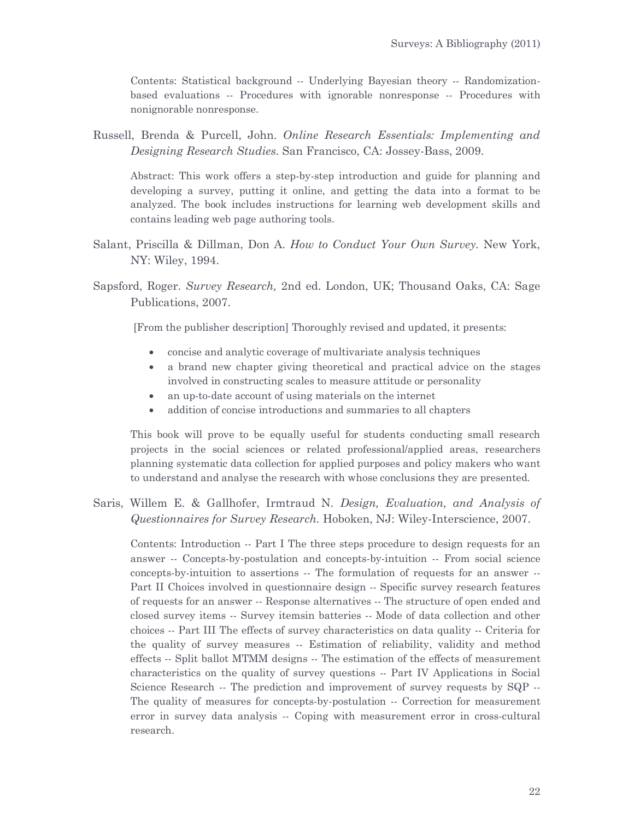Contents: Statistical background -- Underlying Bayesian theory -- Randomizationbased evaluations -- Procedures with ignorable nonresponse -- Procedures with nonignorable nonresponse.

Russell, Brenda & Purcell, John. *Online Research Essentials: Implementing and Designing Research Studies*. San Francisco, CA: Jossey-Bass, 2009.

Abstract: This work offers a step-by-step introduction and guide for planning and developing a survey, putting it online, and getting the data into a format to be analyzed. The book includes instructions for learning web development skills and contains leading web page authoring tools.

- Salant, Priscilla & Dillman, Don A. *How to Conduct Your Own Survey.* New York, NY: Wiley, 1994.
- Sapsford, Roger. *Survey Research,* 2nd ed. London, UK; Thousand Oaks, CA: Sage Publications, 2007.

[From the publisher description] Thoroughly revised and updated, it presents:

- concise and analytic coverage of multivariate analysis techniques
- a brand new chapter giving theoretical and practical advice on the stages involved in constructing scales to measure attitude or personality
- an up-to-date account of using materials on the internet
- addition of concise introductions and summaries to all chapters

This book will prove to be equally useful for students conducting small research projects in the social sciences or related professional/applied areas, researchers planning systematic data collection for applied purposes and policy makers who want to understand and analyse the research with whose conclusions they are presented.

#### Saris, Willem E. & Gallhofer, Irmtraud N. *Design, Evaluation, and Analysis of Questionnaires for Survey Research.* Hoboken, NJ: Wiley-Interscience, 2007.

Contents: Introduction -- Part I The three steps procedure to design requests for an answer -- Concepts-by-postulation and concepts-by-intuition -- From social science concepts-by-intuition to assertions -- The formulation of requests for an answer -- Part II Choices involved in questionnaire design -- Specific survey research features of requests for an answer -- Response alternatives -- The structure of open ended and closed survey items -- Survey itemsin batteries -- Mode of data collection and other choices -- Part III The effects of survey characteristics on data quality -- Criteria for the quality of survey measures -- Estimation of reliability, validity and method effects -- Split ballot MTMM designs -- The estimation of the effects of measurement characteristics on the quality of survey questions -- Part IV Applications in Social Science Research -- The prediction and improvement of survey requests by SQP -- The quality of measures for concepts-by-postulation -- Correction for measurement error in survey data analysis -- Coping with measurement error in cross-cultural research.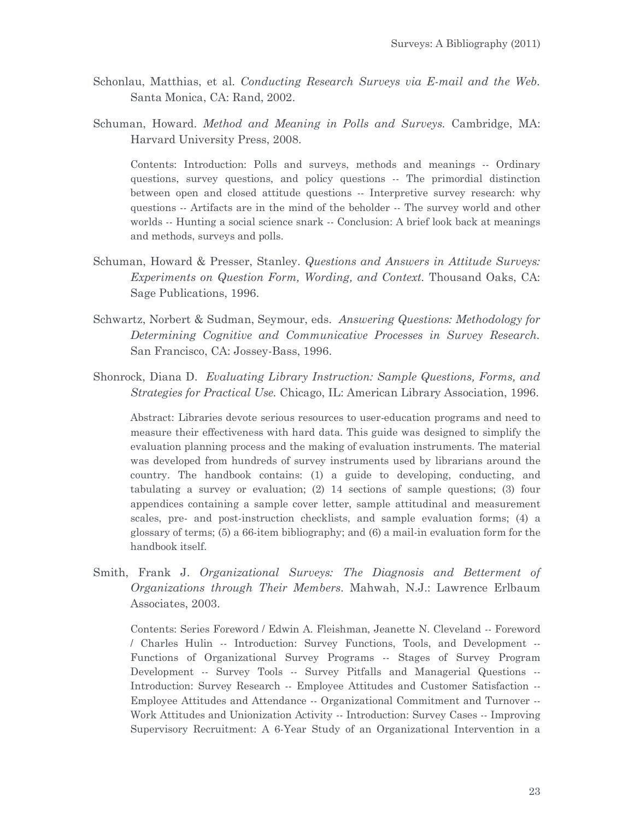- Schonlau, Matthias, et al. *Conducting Research Surveys via E-mail and the Web.* Santa Monica, CA: Rand, 2002.
- Schuman, Howard. *Method and Meaning in Polls and Surveys.* Cambridge, MA: Harvard University Press, 2008.

Contents: Introduction: Polls and surveys, methods and meanings -- Ordinary questions, survey questions, and policy questions -- The primordial distinction between open and closed attitude questions -- Interpretive survey research: why questions -- Artifacts are in the mind of the beholder -- The survey world and other worlds -- Hunting a social science snark -- Conclusion: A brief look back at meanings and methods, surveys and polls.

- Schuman, Howard & Presser, Stanley. *Questions and Answers in Attitude Surveys: Experiments on Question Form, Wording, and Context.* Thousand Oaks, CA: Sage Publications, 1996.
- Schwartz, Norbert & Sudman, Seymour, eds. *Answering Questions: Methodology for Determining Cognitive and Communicative Processes in Survey Research.* San Francisco, CA: Jossey-Bass, 1996.
- Shonrock, Diana D. *Evaluating Library Instruction: Sample Questions, Forms, and Strategies for Practical Use.* Chicago, IL: American Library Association, 1996.

Abstract: Libraries devote serious resources to user-education programs and need to measure their effectiveness with hard data. This guide was designed to simplify the evaluation planning process and the making of evaluation instruments. The material was developed from hundreds of survey instruments used by librarians around the country. The handbook contains: (1) a guide to developing, conducting, and tabulating a survey or evaluation; (2) 14 sections of sample questions; (3) four appendices containing a sample cover letter, sample attitudinal and measurement scales, pre- and post-instruction checklists, and sample evaluation forms; (4) a glossary of terms; (5) a 66-item bibliography; and (6) a mail-in evaluation form for the handbook itself.

Smith, Frank J. *Organizational Surveys: The Diagnosis and Betterment of Organizations through Their Members*. Mahwah, N.J.: Lawrence Erlbaum Associates, 2003.

Contents: Series Foreword / Edwin A. Fleishman, Jeanette N. Cleveland -- Foreword / Charles Hulin -- Introduction: Survey Functions, Tools, and Development -- Functions of Organizational Survey Programs -- Stages of Survey Program Development -- Survey Tools -- Survey Pitfalls and Managerial Questions -- Introduction: Survey Research -- Employee Attitudes and Customer Satisfaction -- Employee Attitudes and Attendance -- Organizational Commitment and Turnover -- Work Attitudes and Unionization Activity -- Introduction: Survey Cases -- Improving Supervisory Recruitment: A 6-Year Study of an Organizational Intervention in a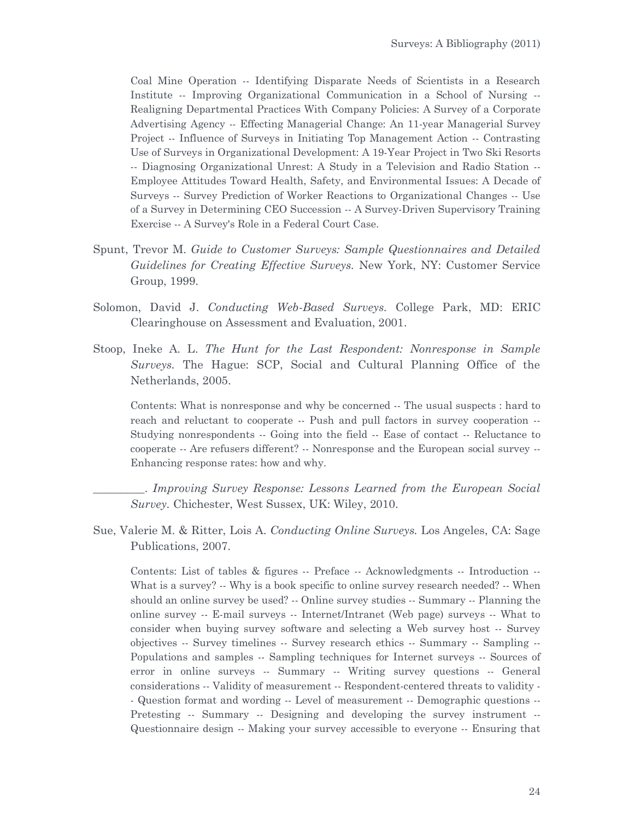Coal Mine Operation -- Identifying Disparate Needs of Scientists in a Research Institute -- Improving Organizational Communication in a School of Nursing -- Realigning Departmental Practices With Company Policies: A Survey of a Corporate Advertising Agency -- Effecting Managerial Change: An 11-year Managerial Survey Project -- Influence of Surveys in Initiating Top Management Action -- Contrasting Use of Surveys in Organizational Development: A 19-Year Project in Two Ski Resorts -- Diagnosing Organizational Unrest: A Study in a Television and Radio Station -- Employee Attitudes Toward Health, Safety, and Environmental Issues: A Decade of Surveys -- Survey Prediction of Worker Reactions to Organizational Changes -- Use of a Survey in Determining CEO Succession -- A Survey-Driven Supervisory Training Exercise -- A Survey's Role in a Federal Court Case.

- Spunt, Trevor M. *Guide to Customer Surveys: Sample Questionnaires and Detailed Guidelines for Creating Effective Surveys.* New York, NY: Customer Service Group, 1999.
- Solomon, David J. *Conducting Web-Based Surveys.* College Park, MD: ERIC Clearinghouse on Assessment and Evaluation, 2001.
- Stoop, Ineke A. L. *The Hunt for the Last Respondent: Nonresponse in Sample Surveys.* The Hague: SCP, Social and Cultural Planning Office of the Netherlands, 2005.

Contents: What is nonresponse and why be concerned -- The usual suspects : hard to reach and reluctant to cooperate -- Push and pull factors in survey cooperation -- Studying nonrespondents -- Going into the field -- Ease of contact -- Reluctance to cooperate -- Are refusers different? -- Nonresponse and the European social survey -- Enhancing response rates: how and why.

\_\_\_\_\_\_\_\_\_. *Improving Survey Response: Lessons Learned from the European Social Survey.* Chichester, West Sussex, UK: Wiley, 2010.

Sue, Valerie M. & Ritter, Lois A. *Conducting Online Surveys.* Los Angeles, CA: Sage Publications, 2007.

Contents: List of tables & figures -- Preface -- Acknowledgments -- Introduction -- What is a survey? -- Why is a book specific to online survey research needed? -- When should an online survey be used? -- Online survey studies -- Summary -- Planning the online survey -- E-mail surveys -- Internet/Intranet (Web page) surveys -- What to consider when buying survey software and selecting a Web survey host -- Survey objectives -- Survey timelines -- Survey research ethics -- Summary -- Sampling -- Populations and samples -- Sampling techniques for Internet surveys -- Sources of error in online surveys -- Summary -- Writing survey questions -- General considerations -- Validity of measurement -- Respondent-centered threats to validity - - Question format and wording -- Level of measurement -- Demographic questions -- Pretesting -- Summary -- Designing and developing the survey instrument -- Questionnaire design -- Making your survey accessible to everyone -- Ensuring that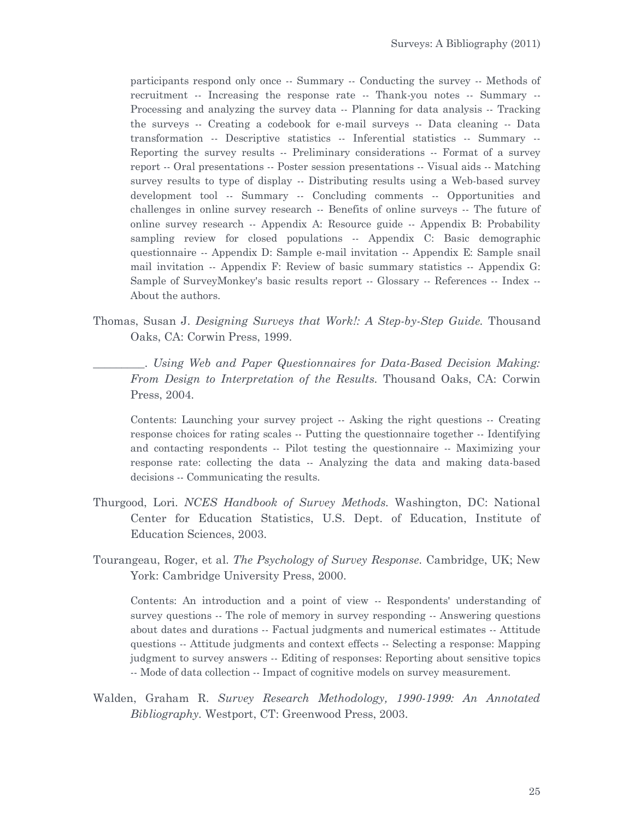participants respond only once -- Summary -- Conducting the survey -- Methods of recruitment -- Increasing the response rate -- Thank-you notes -- Summary -- Processing and analyzing the survey data -- Planning for data analysis -- Tracking the surveys -- Creating a codebook for e-mail surveys -- Data cleaning -- Data transformation -- Descriptive statistics -- Inferential statistics -- Summary -- Reporting the survey results -- Preliminary considerations -- Format of a survey report -- Oral presentations -- Poster session presentations -- Visual aids -- Matching survey results to type of display -- Distributing results using a Web-based survey development tool -- Summary -- Concluding comments -- Opportunities and challenges in online survey research -- Benefits of online surveys -- The future of online survey research -- Appendix A: Resource guide -- Appendix B: Probability sampling review for closed populations -- Appendix C: Basic demographic questionnaire -- Appendix D: Sample e-mail invitation -- Appendix E: Sample snail mail invitation -- Appendix F: Review of basic summary statistics -- Appendix G: Sample of SurveyMonkey's basic results report -- Glossary -- References -- Index -- About the authors.

Thomas, Susan J. *Designing Surveys that Work!: A Step-by-Step Guide.* Thousand Oaks, CA: Corwin Press, 1999.

\_\_\_\_\_\_\_\_\_. *Using Web and Paper Questionnaires for Data-Based Decision Making: From Design to Interpretation of the Results.* Thousand Oaks, CA: Corwin Press, 2004.

Contents: Launching your survey project -- Asking the right questions -- Creating response choices for rating scales -- Putting the questionnaire together -- Identifying and contacting respondents -- Pilot testing the questionnaire -- Maximizing your response rate: collecting the data -- Analyzing the data and making data-based decisions -- Communicating the results.

- Thurgood, Lori. *NCES Handbook of Survey Methods.* Washington, DC: National Center for Education Statistics, U.S. Dept. of Education, Institute of Education Sciences, 2003.
- Tourangeau, Roger, et al. *The Psychology of Survey Response*. Cambridge, UK; New York: Cambridge University Press, 2000.

Contents: An introduction and a point of view -- Respondents' understanding of survey questions -- The role of memory in survey responding -- Answering questions about dates and durations -- Factual judgments and numerical estimates -- Attitude questions -- Attitude judgments and context effects -- Selecting a response: Mapping judgment to survey answers -- Editing of responses: Reporting about sensitive topics -- Mode of data collection -- Impact of cognitive models on survey measurement.

Walden, Graham R. *Survey Research Methodology, 1990-1999: An Annotated Bibliography.* Westport, CT: Greenwood Press, 2003.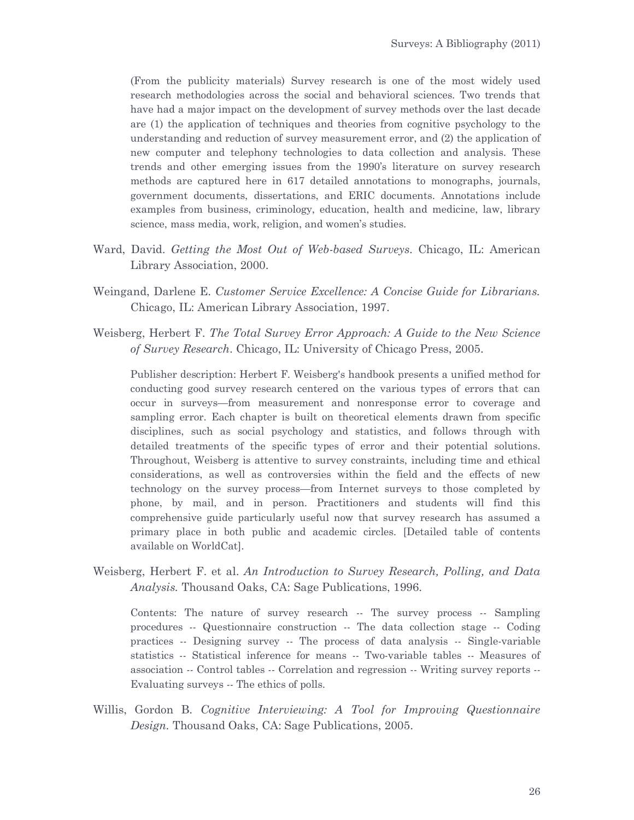(From the publicity materials) Survey research is one of the most widely used research methodologies across the social and behavioral sciences. Two trends that have had a major impact on the development of survey methods over the last decade are (1) the application of techniques and theories from cognitive psychology to the understanding and reduction of survey measurement error, and (2) the application of new computer and telephony technologies to data collection and analysis. These trends and other emerging issues from the 1990's literature on survey research methods are captured here in 617 detailed annotations to monographs, journals, government documents, dissertations, and ERIC documents. Annotations include examples from business, criminology, education, health and medicine, law, library science, mass media, work, religion, and women's studies.

- Ward, David. *Getting the Most Out of Web-based Surveys*. Chicago, IL: American Library Association, 2000.
- Weingand, Darlene E. *Customer Service Excellence: A Concise Guide for Librarians.* Chicago, IL: American Library Association, 1997.
- Weisberg, Herbert F. *The Total Survey Error Approach: A Guide to the New Science of Survey Research*. Chicago, IL: University of Chicago Press, 2005.

Publisher description: Herbert F. Weisberg's handbook presents a unified method for conducting good survey research centered on the various types of errors that can occur in surveys—from measurement and nonresponse error to coverage and sampling error. Each chapter is built on theoretical elements drawn from specific disciplines, such as social psychology and statistics, and follows through with detailed treatments of the specific types of error and their potential solutions. Throughout, Weisberg is attentive to survey constraints, including time and ethical considerations, as well as controversies within the field and the effects of new technology on the survey process—from Internet surveys to those completed by phone, by mail, and in person. Practitioners and students will find this comprehensive guide particularly useful now that survey research has assumed a primary place in both public and academic circles. [Detailed table of contents available on WorldCat].

Weisberg, Herbert F. et al. *An Introduction to Survey Research, Polling, and Data Analysis.* Thousand Oaks, CA: Sage Publications, 1996.

Contents: The nature of survey research -- The survey process -- Sampling procedures -- Questionnaire construction -- The data collection stage -- Coding practices -- Designing survey -- The process of data analysis -- Single-variable statistics -- Statistical inference for means -- Two-variable tables -- Measures of association -- Control tables -- Correlation and regression -- Writing survey reports -- Evaluating surveys -- The ethics of polls.

Willis, Gordon B. *Cognitive Interviewing: A Tool for Improving Questionnaire Design.* Thousand Oaks, CA: Sage Publications, 2005.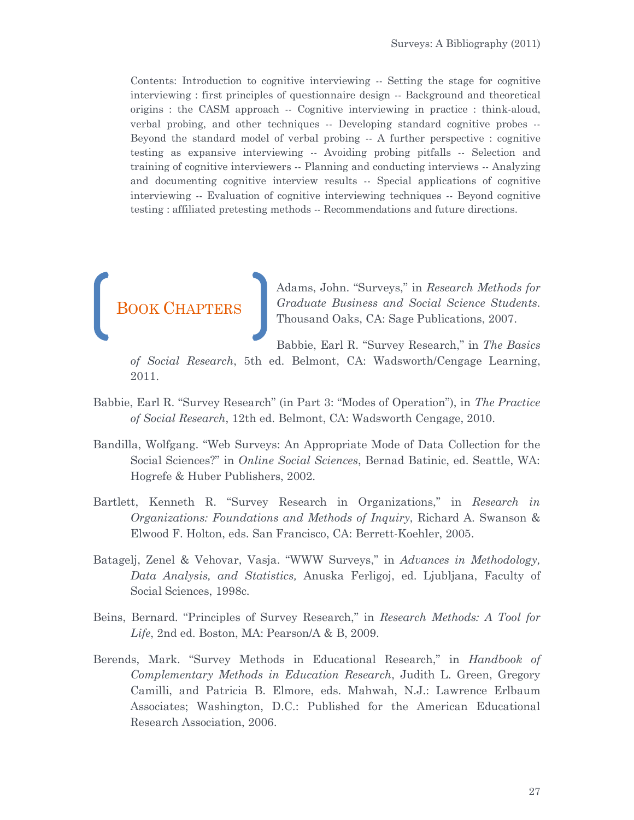Contents: Introduction to cognitive interviewing -- Setting the stage for cognitive interviewing : first principles of questionnaire design -- Background and theoretical origins : the CASM approach -- Cognitive interviewing in practice : think-aloud, verbal probing, and other techniques -- Developing standard cognitive probes -- Beyond the standard model of verbal probing -- A further perspective : cognitive testing as expansive interviewing -- Avoiding probing pitfalls -- Selection and training of cognitive interviewers -- Planning and conducting interviews -- Analyzing and documenting cognitive interview results -- Special applications of cognitive interviewing -- Evaluation of cognitive interviewing techniques -- Beyond cognitive testing : affiliated pretesting methods -- Recommendations and future directions.

## BOOK CHAPTERS

Adams, John. "Surveys," in *Research Methods for Graduate Business and Social Science Students*. Thousand Oaks, CA: Sage Publications, 2007.

Babbie, Earl R. "Survey Research," in *The Basics* 

*of Social Research*, 5th ed. Belmont, CA: Wadsworth/Cengage Learning, 2011.

- Babbie, Earl R. "Survey Research" (in Part 3: "Modes of Operation"), in *The Practice of Social Research*, 12th ed. Belmont, CA: Wadsworth Cengage, 2010.
- Bandilla, Wolfgang. "Web Surveys: An Appropriate Mode of Data Collection for the Social Sciences?" in *Online Social Sciences*, Bernad Batinic, ed. Seattle, WA: Hogrefe & Huber Publishers, 2002.
- Bartlett, Kenneth R. "Survey Research in Organizations," in *Research in Organizations: Foundations and Methods of Inquiry*, Richard A. Swanson & Elwood F. Holton, eds. San Francisco, CA: Berrett-Koehler, 2005.
- Batagelj, Zenel & Vehovar, Vasja. "WWW Surveys," in *Advances in Methodology, Data Analysis, and Statistics,* Anuska Ferligoj, ed. Ljubljana, Faculty of Social Sciences, 1998c.
- Beins, Bernard. "Principles of Survey Research," in *Research Methods: A Tool for Life*, 2nd ed. Boston, MA: Pearson/A & B, 2009.
- Berends, Mark. "Survey Methods in Educational Research," in *Handbook of Complementary Methods in Education Research*, Judith L. Green, Gregory Camilli, and Patricia B. Elmore, eds. Mahwah, N.J.: Lawrence Erlbaum Associates; Washington, D.C.: Published for the American Educational Research Association, 2006.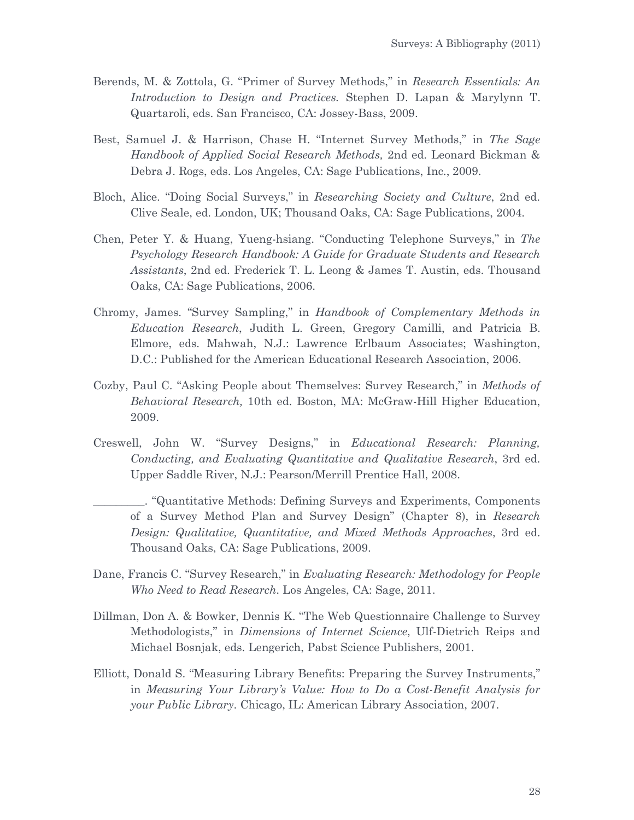- Berends, M. & Zottola, G. "Primer of Survey Methods," in *Research Essentials: An Introduction to Design and Practices.* Stephen D. Lapan & Marylynn T. Quartaroli, eds. San Francisco, CA: Jossey-Bass, 2009.
- Best, Samuel J. & Harrison, Chase H. "Internet Survey Methods," in *The Sage Handbook of Applied Social Research Methods,* 2nd ed. Leonard Bickman & Debra J. Rogs, eds. Los Angeles, CA: Sage Publications, Inc., 2009.
- Bloch, Alice. "Doing Social Surveys," in *Researching Society and Culture*, 2nd ed. Clive Seale, ed. London, UK; Thousand Oaks, CA: Sage Publications, 2004.
- Chen, Peter Y. & Huang, Yueng-hsiang. "Conducting Telephone Surveys," in *The Psychology Research Handbook: A Guide for Graduate Students and Research Assistants*, 2nd ed. Frederick T. L. Leong & James T. Austin, eds. Thousand Oaks, CA: Sage Publications, 2006.
- Chromy, James. "Survey Sampling," in *Handbook of Complementary Methods in Education Research*, Judith L. Green, Gregory Camilli, and Patricia B. Elmore, eds. Mahwah, N.J.: Lawrence Erlbaum Associates; Washington, D.C.: Published for the American Educational Research Association, 2006.
- Cozby, Paul C. "Asking People about Themselves: Survey Research," in *Methods of Behavioral Research,* 10th ed. Boston, MA: McGraw-Hill Higher Education, 2009.
- Creswell, John W. "Survey Designs," in *Educational Research: Planning, Conducting, and Evaluating Quantitative and Qualitative Research*, 3rd ed. Upper Saddle River, N.J.: Pearson/Merrill Prentice Hall, 2008.
	- \_\_\_\_\_\_\_\_\_. "Quantitative Methods: Defining Surveys and Experiments, Components of a Survey Method Plan and Survey Design" (Chapter 8), in *Research Design: Qualitative, Quantitative, and Mixed Methods Approaches*, 3rd ed. Thousand Oaks, CA: Sage Publications, 2009.
- Dane, Francis C. "Survey Research," in *Evaluating Research: Methodology for People Who Need to Read Research*. Los Angeles, CA: Sage, 2011.
- Dillman, Don A. & Bowker, Dennis K. "The Web Questionnaire Challenge to Survey Methodologists," in *Dimensions of Internet Science*, Ulf-Dietrich Reips and Michael Bosnjak, eds. Lengerich, Pabst Science Publishers, 2001.
- Elliott, Donald S. "Measuring Library Benefits: Preparing the Survey Instruments," in *Measuring Your Library's Value: How to Do a Cost-Benefit Analysis for your Public Library*. Chicago, IL: American Library Association, 2007.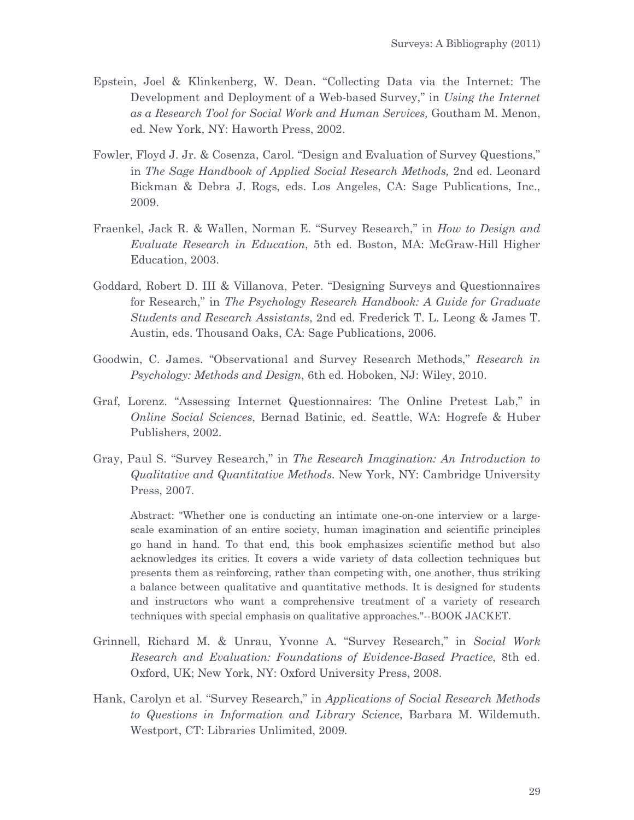- Epstein, Joel & Klinkenberg, W. Dean. "Collecting Data via the Internet: The Development and Deployment of a Web-based Survey," in *Using the Internet as a Research Tool for Social Work and Human Services,* Goutham M. Menon, ed. New York, NY: Haworth Press, 2002.
- Fowler, Floyd J. Jr. & Cosenza, Carol. "Design and Evaluation of Survey Questions," in *The Sage Handbook of Applied Social Research Methods,* 2nd ed. Leonard Bickman & Debra J. Rogs, eds. Los Angeles, CA: Sage Publications, Inc., 2009.
- Fraenkel, Jack R. & Wallen, Norman E. "Survey Research," in *How to Design and Evaluate Research in Education*, 5th ed. Boston, MA: McGraw-Hill Higher Education, 2003.
- Goddard, Robert D. III & Villanova, Peter. "Designing Surveys and Questionnaires for Research," in *The Psychology Research Handbook: A Guide for Graduate Students and Research Assistants*, 2nd ed. Frederick T. L. Leong & James T. Austin, eds. Thousand Oaks, CA: Sage Publications, 2006.
- Goodwin, C. James. "Observational and Survey Research Methods," *Research in Psychology: Methods and Design*, 6th ed. Hoboken, NJ: Wiley, 2010.
- Graf, Lorenz. "Assessing Internet Questionnaires: The Online Pretest Lab," in *Online Social Sciences*, Bernad Batinic, ed. Seattle, WA: Hogrefe & Huber Publishers, 2002.
- Gray, Paul S. "Survey Research," in *The Research Imagination: An Introduction to Qualitative and Quantitative Methods*. New York, NY: Cambridge University Press, 2007.

Abstract: "Whether one is conducting an intimate one-on-one interview or a largescale examination of an entire society, human imagination and scientific principles go hand in hand. To that end, this book emphasizes scientific method but also acknowledges its critics. It covers a wide variety of data collection techniques but presents them as reinforcing, rather than competing with, one another, thus striking a balance between qualitative and quantitative methods. It is designed for students and instructors who want a comprehensive treatment of a variety of research techniques with special emphasis on qualitative approaches."--BOOK JACKET.

- Grinnell, Richard M. & Unrau, Yvonne A. "Survey Research," in *Social Work Research and Evaluation: Foundations of Evidence-Based Practice*, 8th ed. Oxford, UK; New York, NY: Oxford University Press, 2008.
- Hank, Carolyn et al. "Survey Research," in *Applications of Social Research Methods to Questions in Information and Library Science*, Barbara M. Wildemuth. Westport, CT: Libraries Unlimited, 2009.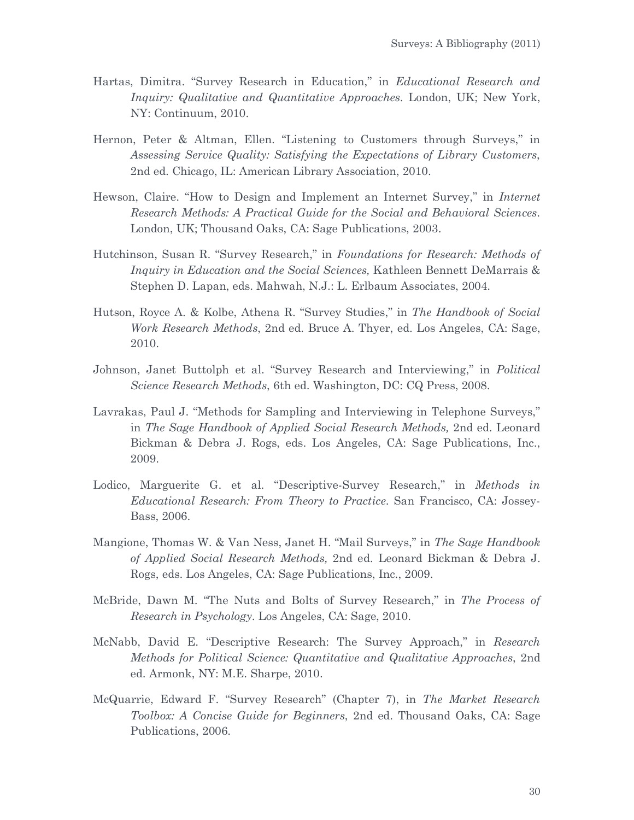- Hartas, Dimitra. "Survey Research in Education," in *Educational Research and Inquiry: Qualitative and Quantitative Approaches*. London, UK; New York, NY: Continuum, 2010.
- Hernon, Peter & Altman, Ellen. "Listening to Customers through Surveys," in *Assessing Service Quality: Satisfying the Expectations of Library Customers*, 2nd ed. Chicago, IL: American Library Association, 2010.
- Hewson, Claire. "How to Design and Implement an Internet Survey," in *Internet Research Methods: A Practical Guide for the Social and Behavioral Sciences*. London, UK; Thousand Oaks, CA: Sage Publications, 2003.
- Hutchinson, Susan R. "Survey Research," in *Foundations for Research: Methods of Inquiry in Education and the Social Sciences,* Kathleen Bennett DeMarrais & Stephen D. Lapan, eds. Mahwah, N.J.: L. Erlbaum Associates, 2004.
- Hutson, Royce A. & Kolbe, Athena R. "Survey Studies," in *The Handbook of Social Work Research Methods*, 2nd ed. Bruce A. Thyer, ed. Los Angeles, CA: Sage, 2010.
- Johnson, Janet Buttolph et al. "Survey Research and Interviewing," in *Political Science Research Methods*, 6th ed. Washington, DC: CQ Press, 2008.
- Lavrakas, Paul J. "Methods for Sampling and Interviewing in Telephone Surveys," in *The Sage Handbook of Applied Social Research Methods,* 2nd ed. Leonard Bickman & Debra J. Rogs, eds. Los Angeles, CA: Sage Publications, Inc., 2009.
- Lodico, Marguerite G. et al. "Descriptive-Survey Research," in *Methods in Educational Research: From Theory to Practice*. San Francisco, CA: Jossey-Bass, 2006.
- Mangione, Thomas W. & Van Ness, Janet H. "Mail Surveys," in *The Sage Handbook of Applied Social Research Methods,* 2nd ed. Leonard Bickman & Debra J. Rogs, eds. Los Angeles, CA: Sage Publications, Inc., 2009.
- McBride, Dawn M. "The Nuts and Bolts of Survey Research," in *The Process of Research in Psychology*. Los Angeles, CA: Sage, 2010.
- McNabb, David E. "Descriptive Research: The Survey Approach," in *Research Methods for Political Science: Quantitative and Qualitative Approaches*, 2nd ed. Armonk, NY: M.E. Sharpe, 2010.
- McQuarrie, Edward F. "Survey Research" (Chapter 7), in *The Market Research Toolbox: A Concise Guide for Beginners*, 2nd ed. Thousand Oaks, CA: Sage Publications, 2006.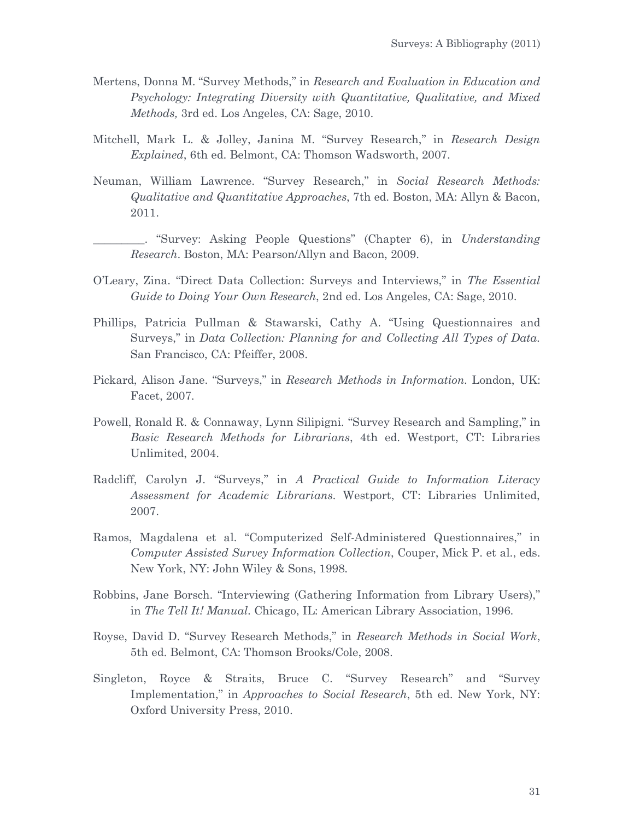- Mertens, Donna M. "Survey Methods," in *Research and Evaluation in Education and Psychology: Integrating Diversity with Quantitative, Qualitative, and Mixed Methods,* 3rd ed. Los Angeles, CA: Sage, 2010.
- Mitchell, Mark L. & Jolley, Janina M. "Survey Research," in *Research Design Explained*, 6th ed. Belmont, CA: Thomson Wadsworth, 2007.
- Neuman, William Lawrence. "Survey Research," in *Social Research Methods: Qualitative and Quantitative Approaches*, 7th ed. Boston, MA: Allyn & Bacon, 2011.

\_\_\_\_\_\_\_\_\_. "Survey: Asking People Questions" (Chapter 6), in *Understanding Research*. Boston, MA: Pearson/Allyn and Bacon, 2009.

- O'Leary, Zina. "Direct Data Collection: Surveys and Interviews," in *The Essential Guide to Doing Your Own Research*, 2nd ed. Los Angeles, CA: Sage, 2010.
- Phillips, Patricia Pullman & Stawarski, Cathy A. "Using Questionnaires and Surveys," in *Data Collection: Planning for and Collecting All Types of Data*. San Francisco, CA: Pfeiffer, 2008.
- Pickard, Alison Jane. "Surveys," in *Research Methods in Information.* London, UK: Facet, 2007.
- Powell, Ronald R. & Connaway, Lynn Silipigni. "Survey Research and Sampling," in *Basic Research Methods for Librarians*, 4th ed. Westport, CT: Libraries Unlimited, 2004.
- Radcliff, Carolyn J. "Surveys," in *A Practical Guide to Information Literacy Assessment for Academic Librarians*. Westport, CT: Libraries Unlimited, 2007.
- Ramos, Magdalena et al. "Computerized Self-Administered Questionnaires," in *Computer Assisted Survey Information Collection*, Couper, Mick P. et al., eds. New York, NY: John Wiley & Sons, 1998.
- Robbins, Jane Borsch. "Interviewing (Gathering Information from Library Users)," in *The Tell It! Manual*. Chicago, IL: American Library Association, 1996.
- Royse, David D. "Survey Research Methods," in *Research Methods in Social Work*, 5th ed. Belmont, CA: Thomson Brooks/Cole, 2008.
- Singleton, Royce & Straits, Bruce C. "Survey Research" and "Survey Implementation," in *Approaches to Social Research*, 5th ed. New York, NY: Oxford University Press, 2010.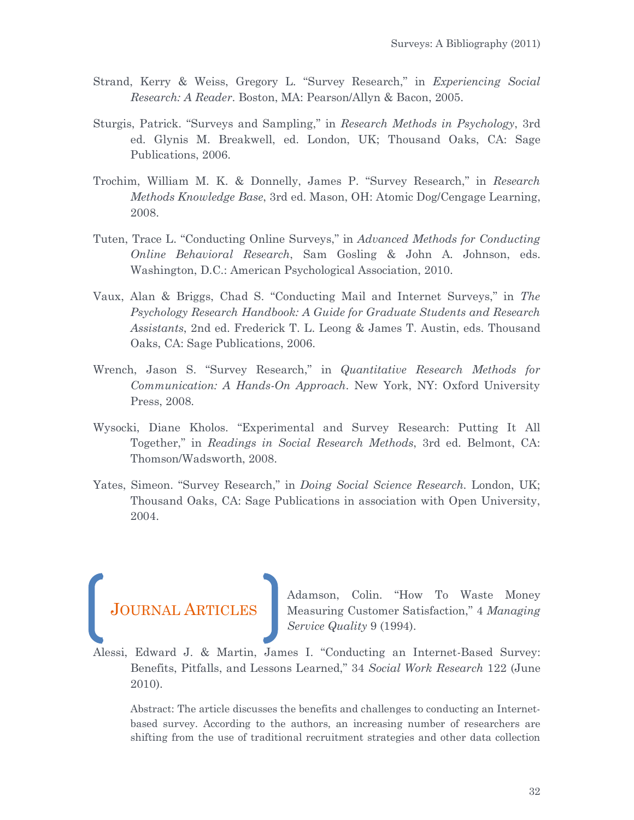- Strand, Kerry & Weiss, Gregory L. "Survey Research," in *Experiencing Social Research: A Reader*. Boston, MA: Pearson/Allyn & Bacon, 2005.
- Sturgis, Patrick. "Surveys and Sampling," in *Research Methods in Psychology*, 3rd ed. Glynis M. Breakwell, ed. London, UK; Thousand Oaks, CA: Sage Publications, 2006.
- Trochim, William M. K. & Donnelly, James P. "Survey Research," in *Research Methods Knowledge Base*, 3rd ed. Mason, OH: Atomic Dog/Cengage Learning, 2008.
- Tuten, Trace L. "Conducting Online Surveys," in *Advanced Methods for Conducting Online Behavioral Research*, Sam Gosling & John A. Johnson, eds. Washington, D.C.: American Psychological Association, 2010.
- Vaux, Alan & Briggs, Chad S. "Conducting Mail and Internet Surveys," in *The Psychology Research Handbook: A Guide for Graduate Students and Research Assistants*, 2nd ed. Frederick T. L. Leong & James T. Austin, eds. Thousand Oaks, CA: Sage Publications, 2006.
- Wrench, Jason S. "Survey Research," in *Quantitative Research Methods for Communication: A Hands-On Approach*. New York, NY: Oxford University Press, 2008.
- Wysocki, Diane Kholos. "Experimental and Survey Research: Putting It All Together," in *Readings in Social Research Methods*, 3rd ed. Belmont, CA: Thomson/Wadsworth, 2008.
- Yates, Simeon. "Survey Research," in *Doing Social Science Research.* London, UK; Thousand Oaks, CA: Sage Publications in association with Open University, 2004.



Adamson, Colin. "How To Waste Money Measuring Customer Satisfaction," 4 *Managing Service Quality* 9 (1994).

Alessi, Edward J. & Martin, James I. "Conducting an Internet-Based Survey: Benefits, Pitfalls, and Lessons Learned," 34 *Social Work Research* 122 (June 2010).

Abstract: The article discusses the benefits and challenges to conducting an Internetbased survey. According to the authors, an increasing number of researchers are shifting from the use of traditional recruitment strategies and other data collection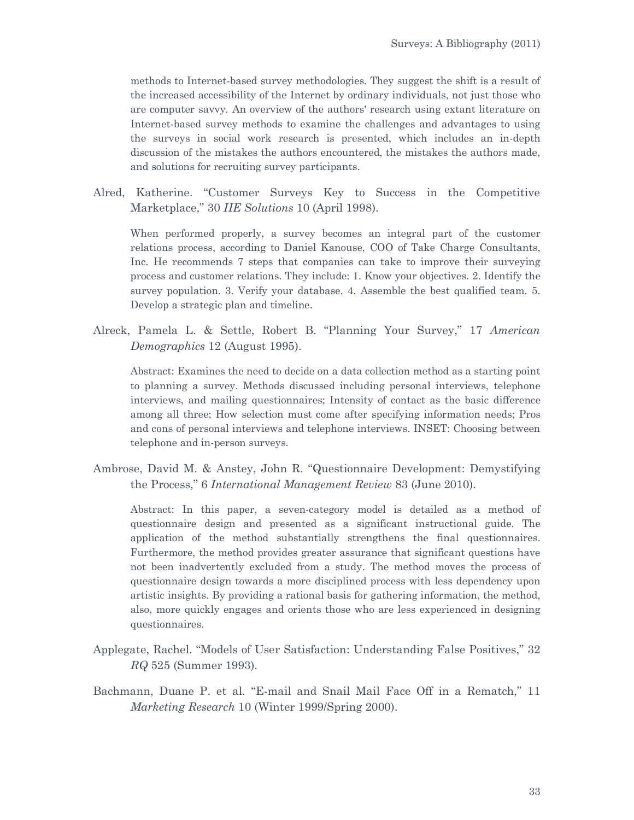methods to Internet-based survey methodologies. They suggest the shift is a result of the increased accessibility of the Internet by ordinary individuals, not just those who are computer savvy. An overview of the authors' research using extant literature on Internet-based survey methods to examine the challenges and advantages to using the surveys in social work research is presented, which includes an in-depth discussion of the mistakes the authors encountered, the mistakes the authors made, and solutions for recruiting survey participants.

Alred, Katherine. "Customer Surveys Key to Success in the Competitive Marketplace," 30 *IIE Solutions* 10 (April 1998).

When performed properly, a survey becomes an integral part of the customer relations process, according to Daniel Kanouse, COO of Take Charge Consultants, Inc. He recommends 7 steps that companies can take to improve their surveying process and customer relations. They include: 1. Know your objectives. 2. Identify the survey population. 3. Verify your database. 4. Assemble the best qualified team. 5. Develop a strategic plan and timeline.

Alreck, Pamela L. & Settle, Robert B. "Planning Your Survey," 17 *American Demographics* 12 (August 1995).

Abstract: Examines the need to decide on a data collection method as a starting point to planning a survey. Methods discussed including personal interviews, telephone interviews, and mailing questionnaires; Intensity of contact as the basic difference among all three; How selection must come after specifying information needs; Pros and cons of personal interviews and telephone interviews. INSET: Choosing between telephone and in-person surveys.

Ambrose, David M. & Anstey, John R. "Questionnaire Development: Demystifying the Process," 6 *International Management Review* 83 (June 2010).

Abstract: In this paper, a seven-category model is detailed as a method of questionnaire design and presented as a significant instructional guide. The application of the method substantially strengthens the final questionnaires. Furthermore, the method provides greater assurance that significant questions have not been inadvertently excluded from a study. The method moves the process of questionnaire design towards a more disciplined process with less dependency upon artistic insights. By providing a rational basis for gathering information, the method, also, more quickly engages and orients those who are less experienced in designing questionnaires.

- Applegate, Rachel. "Models of User Satisfaction: Understanding False Positives," 32 *RQ* 525 (Summer 1993).
- Bachmann, Duane P. et al. "E-mail and Snail Mail Face Off in a Rematch," 11 *Marketing Research* 10 (Winter 1999/Spring 2000).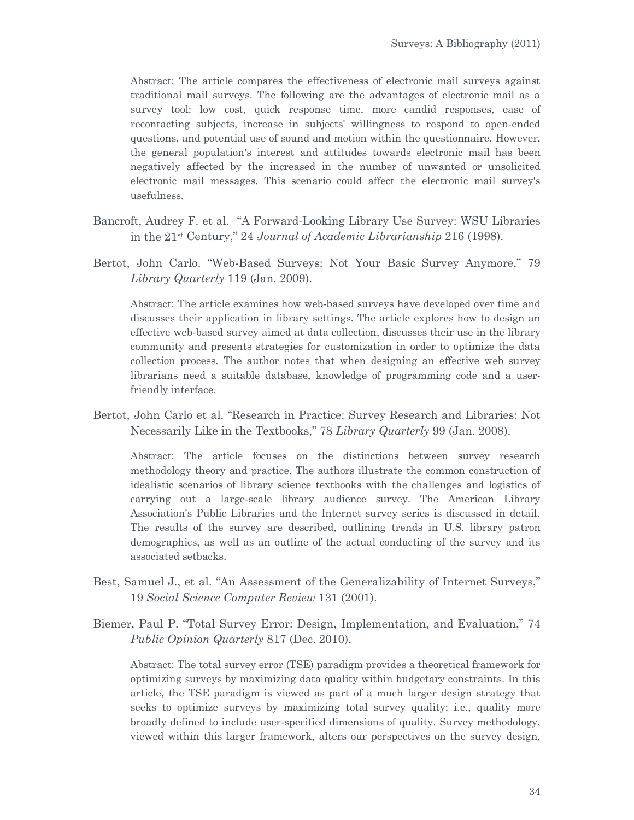Abstract: The article compares the effectiveness of electronic mail surveys against traditional mail surveys. The following are the advantages of electronic mail as a survey tool: low cost, quick response time, more candid responses, ease of recontacting subjects, increase in subjects' willingness to respond to open-ended questions, and potential use of sound and motion within the questionnaire. However, the general population's interest and attitudes towards electronic mail has been negatively affected by the increased in the number of unwanted or unsolicited electronic mail messages. This scenario could affect the electronic mail survey's usefulness.

- Bancroft, Audrey F. et al. "A Forward-Looking Library Use Survey: WSU Libraries in the 21st Century," 24 *Journal of Academic Librarianship* 216 (1998).
- Bertot, John Carlo. "Web-Based Surveys: Not Your Basic Survey Anymore," 79 *Library Quarterly* 119 (Jan. 2009).

Abstract: The article examines how web-based surveys have developed over time and discusses their application in library settings. The article explores how to design an effective web-based survey aimed at data collection, discusses their use in the library community and presents strategies for customization in order to optimize the data collection process. The author notes that when designing an effective web survey librarians need a suitable database, knowledge of programming code and a userfriendly interface.

Bertot, John Carlo et al. "Research in Practice: Survey Research and Libraries: Not Necessarily Like in the Textbooks," 78 *Library Quarterly* 99 (Jan. 2008).

Abstract: The article focuses on the distinctions between survey research methodology theory and practice. The authors illustrate the common construction of idealistic scenarios of library science textbooks with the challenges and logistics of carrying out a large-scale library audience survey. The American Library Association's Public Libraries and the Internet survey series is discussed in detail. The results of the survey are described, outlining trends in U.S. library patron demographics, as well as an outline of the actual conducting of the survey and its associated setbacks.

- Best, Samuel J., et al. "An Assessment of the Generalizability of Internet Surveys," 19 *Social Science Computer Review* 131 (2001).
- Biemer, Paul P. "Total Survey Error: Design, Implementation, and Evaluation," 74 *Public Opinion Quarterly* 817 (Dec. 2010).

Abstract: The total survey error (TSE) paradigm provides a theoretical framework for optimizing surveys by maximizing data quality within budgetary constraints. In this article, the TSE paradigm is viewed as part of a much larger design strategy that seeks to optimize surveys by maximizing total survey quality; i.e., quality more broadly defined to include user-specified dimensions of quality. Survey methodology, viewed within this larger framework, alters our perspectives on the survey design,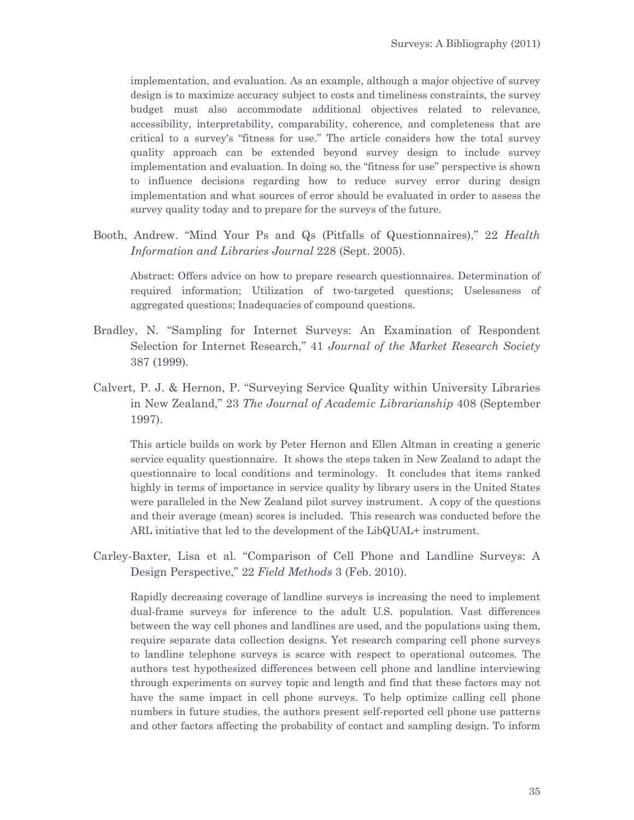implementation, and evaluation. As an example, although a major objective of survey design is to maximize accuracy subject to costs and timeliness constraints, the survey budget must also accommodate additional objectives related to relevance, accessibility, interpretability, comparability, coherence, and completeness that are critical to a survey's "fitness for use." The article considers how the total survey quality approach can be extended beyond survey design to include survey implementation and evaluation. In doing so, the "fitness for use" perspective is shown to influence decisions regarding how to reduce survey error during design implementation and what sources of error should be evaluated in order to assess the survey quality today and to prepare for the surveys of the future.

Booth, Andrew. "Mind Your Ps and Qs (Pitfalls of Questionnaires)," 22 *Health Information and Libraries Journal* 228 (Sept. 2005).

Abstract: Offers advice on how to prepare research questionnaires. Determination of required information; Utilization of two-targeted questions; Uselessness of aggregated questions; Inadequacies of compound questions.

- Bradley, N. "Sampling for Internet Surveys: An Examination of Respondent Selection for Internet Research," 41 *Journal of the Market Research Society* 387 (1999).
- Calvert, P. J. & Hernon, P. "Surveying Service Quality within University Libraries in New Zealand," 23 *The Journal of Academic Librarianship* 408 (September 1997).

This article builds on work by Peter Hernon and Ellen Altman in creating a generic service equality questionnaire. It shows the steps taken in New Zealand to adapt the questionnaire to local conditions and terminology. It concludes that items ranked highly in terms of importance in service quality by library users in the United States were paralleled in the New Zealand pilot survey instrument. A copy of the questions and their average (mean) scores is included. This research was conducted before the ARL initiative that led to the development of the LibQUAL+ instrument.

Carley-Baxter, Lisa et al. "Comparison of Cell Phone and Landline Surveys: A Design Perspective," 22 *Field Methods* 3 (Feb. 2010).

 Rapidly decreasing coverage of landline surveys is increasing the need to implement dual-frame surveys for inference to the adult U.S. population. Vast differences between the way cell phones and landlines are used, and the populations using them, require separate data collection designs. Yet research comparing cell phone surveys to landline telephone surveys is scarce with respect to operational outcomes. The authors test hypothesized differences between cell phone and landline interviewing through experiments on survey topic and length and find that these factors may not have the same impact in cell phone surveys. To help optimize calling cell phone numbers in future studies, the authors present self-reported cell phone use patterns and other factors affecting the probability of contact and sampling design. To inform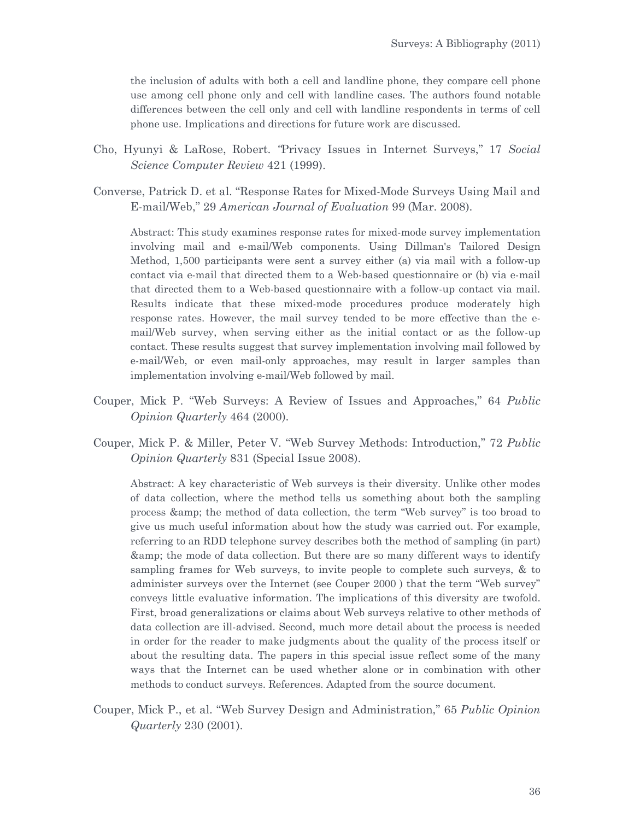the inclusion of adults with both a cell and landline phone, they compare cell phone use among cell phone only and cell with landline cases. The authors found notable differences between the cell only and cell with landline respondents in terms of cell phone use. Implications and directions for future work are discussed.

- Cho, Hyunyi & LaRose, Robert. *"*Privacy Issues in Internet Surveys," 17 *Social Science Computer Review* 421 (1999).
- Converse, Patrick D. et al. "Response Rates for Mixed-Mode Surveys Using Mail and E-mail/Web," 29 *American Journal of Evaluation* 99 (Mar. 2008).

Abstract: This study examines response rates for mixed-mode survey implementation involving mail and e-mail/Web components. Using Dillman's Tailored Design Method, 1,500 participants were sent a survey either (a) via mail with a follow-up contact via e-mail that directed them to a Web-based questionnaire or (b) via e-mail that directed them to a Web-based questionnaire with a follow-up contact via mail. Results indicate that these mixed-mode procedures produce moderately high response rates. However, the mail survey tended to be more effective than the email/Web survey, when serving either as the initial contact or as the follow-up contact. These results suggest that survey implementation involving mail followed by e-mail/Web, or even mail-only approaches, may result in larger samples than implementation involving e-mail/Web followed by mail.

- Couper, Mick P. "Web Surveys: A Review of Issues and Approaches," 64 *Public Opinion Quarterly* 464 (2000).
- Couper, Mick P. & Miller, Peter V. "Web Survey Methods: Introduction," 72 *Public Opinion Quarterly* 831 (Special Issue 2008).

Abstract: A key characteristic of Web surveys is their diversity. Unlike other modes of data collection, where the method tells us something about both the sampling process & amp; the method of data collection, the term "Web survey" is too broad to give us much useful information about how the study was carried out. For example, referring to an RDD telephone survey describes both the method of sampling (in part) & the mode of data collection. But there are so many different ways to identify sampling frames for Web surveys, to invite people to complete such surveys, & to administer surveys over the Internet (see Couper 2000 ) that the term "Web survey" conveys little evaluative information. The implications of this diversity are twofold. First, broad generalizations or claims about Web surveys relative to other methods of data collection are ill-advised. Second, much more detail about the process is needed in order for the reader to make judgments about the quality of the process itself or about the resulting data. The papers in this special issue reflect some of the many ways that the Internet can be used whether alone or in combination with other methods to conduct surveys. References. Adapted from the source document.

Couper, Mick P., et al. "Web Survey Design and Administration," 65 *Public Opinion Quarterly* 230 (2001).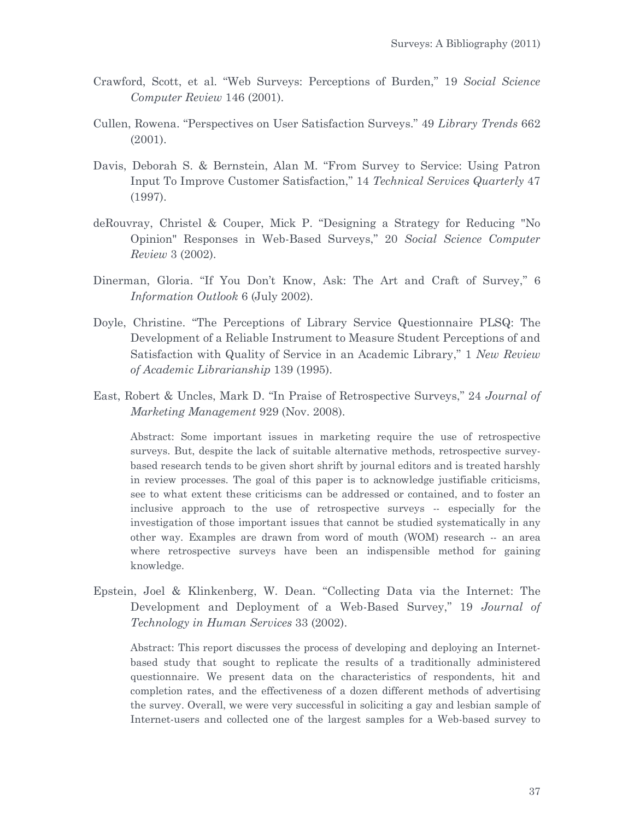- Crawford, Scott, et al. "Web Surveys: Perceptions of Burden," 19 *Social Science Computer Review* 146 (2001).
- Cullen, Rowena. "Perspectives on User Satisfaction Surveys." 49 *Library Trends* 662 (2001).
- Davis, Deborah S. & Bernstein, Alan M. "From Survey to Service: Using Patron Input To Improve Customer Satisfaction," 14 *Technical Services Quarterly* 47 (1997).
- deRouvray, Christel & Couper, Mick P. "Designing a Strategy for Reducing "No Opinion" Responses in Web-Based Surveys," 20 *Social Science Computer Review* 3 (2002).
- Dinerman, Gloria. "If You Don't Know, Ask: The Art and Craft of Survey," 6 *Information Outlook* 6 (July 2002).
- Doyle, Christine. "The Perceptions of Library Service Questionnaire PLSQ: The Development of a Reliable Instrument to Measure Student Perceptions of and Satisfaction with Quality of Service in an Academic Library," 1 *New Review of Academic Librarianship* 139 (1995).
- East, Robert & Uncles, Mark D. "In Praise of Retrospective Surveys," 24 *Journal of Marketing Management* 929 (Nov. 2008).

Abstract: Some important issues in marketing require the use of retrospective surveys. But, despite the lack of suitable alternative methods, retrospective surveybased research tends to be given short shrift by journal editors and is treated harshly in review processes. The goal of this paper is to acknowledge justifiable criticisms, see to what extent these criticisms can be addressed or contained, and to foster an inclusive approach to the use of retrospective surveys -- especially for the investigation of those important issues that cannot be studied systematically in any other way. Examples are drawn from word of mouth (WOM) research -- an area where retrospective surveys have been an indispensible method for gaining knowledge.

Epstein, Joel & Klinkenberg, W. Dean. "Collecting Data via the Internet: The Development and Deployment of a Web-Based Survey," 19 *Journal of Technology in Human Services* 33 (2002).

Abstract: This report discusses the process of developing and deploying an Internetbased study that sought to replicate the results of a traditionally administered questionnaire. We present data on the characteristics of respondents, hit and completion rates, and the effectiveness of a dozen different methods of advertising the survey. Overall, we were very successful in soliciting a gay and lesbian sample of Internet-users and collected one of the largest samples for a Web-based survey to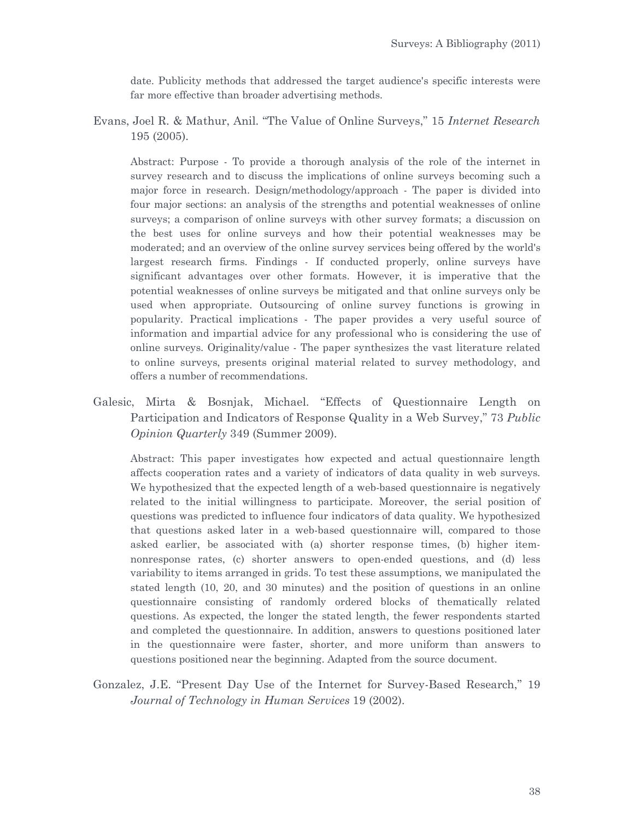date. Publicity methods that addressed the target audience's specific interests were far more effective than broader advertising methods.

Evans, Joel R. & Mathur, Anil. "The Value of Online Surveys," 15 *Internet Research* 195 (2005).

Abstract: Purpose - To provide a thorough analysis of the role of the internet in survey research and to discuss the implications of online surveys becoming such a major force in research. Design/methodology/approach - The paper is divided into four major sections: an analysis of the strengths and potential weaknesses of online surveys; a comparison of online surveys with other survey formats; a discussion on the best uses for online surveys and how their potential weaknesses may be moderated; and an overview of the online survey services being offered by the world's largest research firms. Findings - If conducted properly, online surveys have significant advantages over other formats. However, it is imperative that the potential weaknesses of online surveys be mitigated and that online surveys only be used when appropriate. Outsourcing of online survey functions is growing in popularity. Practical implications - The paper provides a very useful source of information and impartial advice for any professional who is considering the use of online surveys. Originality/value - The paper synthesizes the vast literature related to online surveys, presents original material related to survey methodology, and offers a number of recommendations.

Galesic, Mirta & Bosnjak, Michael. "Effects of Questionnaire Length on Participation and Indicators of Response Quality in a Web Survey," 73 *Public Opinion Quarterly* 349 (Summer 2009).

Abstract: This paper investigates how expected and actual questionnaire length affects cooperation rates and a variety of indicators of data quality in web surveys. We hypothesized that the expected length of a web-based questionnaire is negatively related to the initial willingness to participate. Moreover, the serial position of questions was predicted to influence four indicators of data quality. We hypothesized that questions asked later in a web-based questionnaire will, compared to those asked earlier, be associated with (a) shorter response times, (b) higher itemnonresponse rates, (c) shorter answers to open-ended questions, and (d) less variability to items arranged in grids. To test these assumptions, we manipulated the stated length (10, 20, and 30 minutes) and the position of questions in an online questionnaire consisting of randomly ordered blocks of thematically related questions. As expected, the longer the stated length, the fewer respondents started and completed the questionnaire. In addition, answers to questions positioned later in the questionnaire were faster, shorter, and more uniform than answers to questions positioned near the beginning. Adapted from the source document.

Gonzalez, J.E. "Present Day Use of the Internet for Survey-Based Research," 19 *Journal of Technology in Human Services* 19 (2002).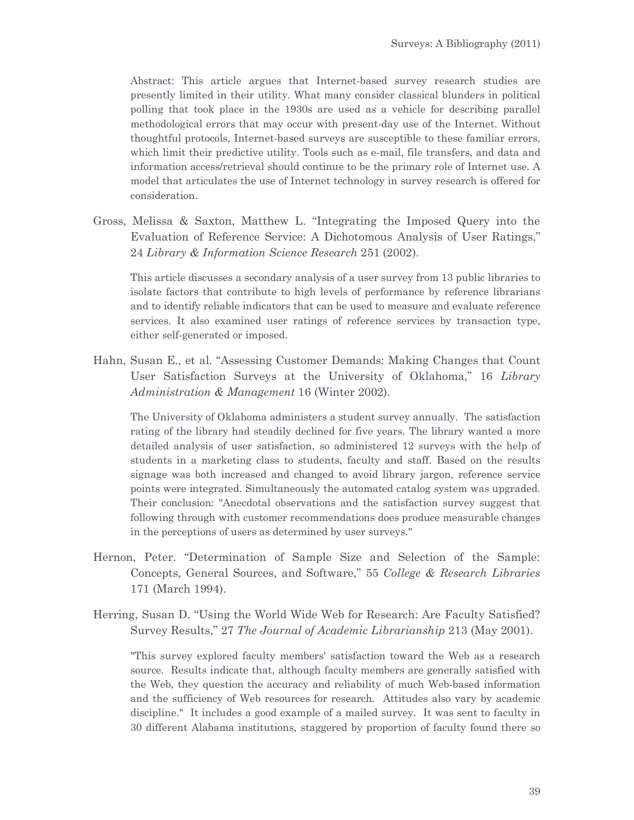Abstract: This article argues that Internet-based survey research studies are presently limited in their utility. What many consider classical blunders in political polling that took place in the 1930s are used as a vehicle for describing parallel methodological errors that may occur with present-day use of the Internet. Without thoughtful protocols, Internet-based surveys are susceptible to these familiar errors, which limit their predictive utility. Tools such as e-mail, file transfers, and data and information access/retrieval should continue to be the primary role of Internet use. A model that articulates the use of Internet technology in survey research is offered for consideration.

Gross, Melissa & Saxton, Matthew L. "Integrating the Imposed Query into the Evaluation of Reference Service: A Dichotomous Analysis of User Ratings," 24 *Library & Information Science Research* 251 (2002).

This article discusses a secondary analysis of a user survey from 13 public libraries to isolate factors that contribute to high levels of performance by reference librarians and to identify reliable indicators that can be used to measure and evaluate reference services. It also examined user ratings of reference services by transaction type, either self-generated or imposed.

Hahn, Susan E., et al. "Assessing Customer Demands: Making Changes that Count User Satisfaction Surveys at the University of Oklahoma," 16 *Library Administration & Management* 16 (Winter 2002).

The University of Oklahoma administers a student survey annually. The satisfaction rating of the library had steadily declined for five years. The library wanted a more detailed analysis of user satisfaction, so administered 12 surveys with the help of students in a marketing class to students, faculty and staff. Based on the results signage was both increased and changed to avoid library jargon, reference service points were integrated. Simultaneously the automated catalog system was upgraded. Their conclusion: "Anecdotal observations and the satisfaction survey suggest that following through with customer recommendations does produce measurable changes in the perceptions of users as determined by user surveys."

- Hernon, Peter. "Determination of Sample Size and Selection of the Sample: Concepts, General Sources, and Software," 55 *College & Research Libraries* 171 (March 1994).
- Herring, Susan D. "Using the World Wide Web for Research: Are Faculty Satisfied? Survey Results," 27 *The Journal of Academic Librarianship* 213 (May 2001).

"This survey explored faculty members' satisfaction toward the Web as a research source. Results indicate that, although faculty members are generally satisfied with the Web, they question the accuracy and reliability of much Web-based information and the sufficiency of Web resources for research. Attitudes also vary by academic discipline." It includes a good example of a mailed survey. It was sent to faculty in 30 different Alabama institutions, staggered by proportion of faculty found there so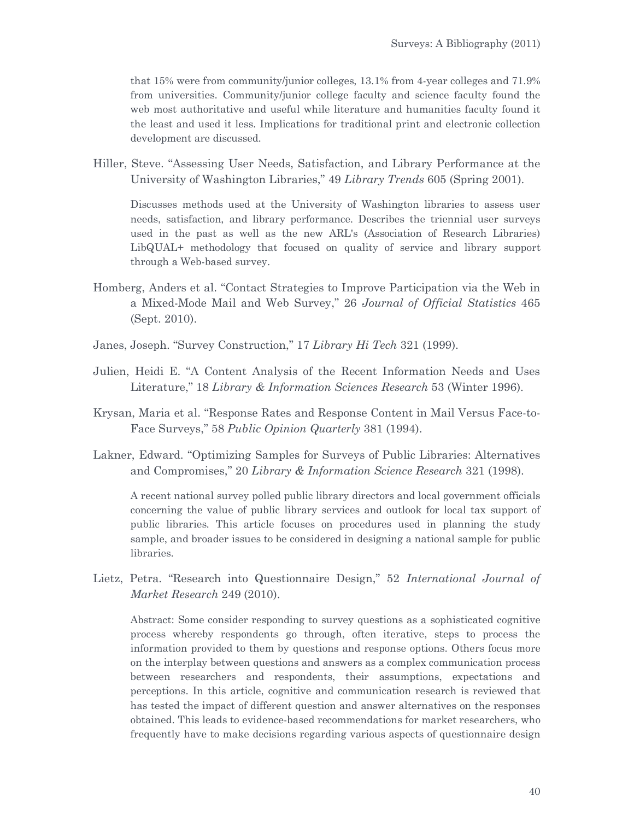that 15% were from community/junior colleges, 13.1% from 4-year colleges and 71.9% from universities. Community/junior college faculty and science faculty found the web most authoritative and useful while literature and humanities faculty found it the least and used it less. Implications for traditional print and electronic collection development are discussed.

Hiller, Steve. "Assessing User Needs, Satisfaction, and Library Performance at the University of Washington Libraries," 49 *Library Trends* 605 (Spring 2001).

Discusses methods used at the University of Washington libraries to assess user needs, satisfaction, and library performance. Describes the triennial user surveys used in the past as well as the new ARL's (Association of Research Libraries) LibQUAL+ methodology that focused on quality of service and library support through a Web-based survey.

- Homberg, Anders et al. "Contact Strategies to Improve Participation via the Web in a Mixed-Mode Mail and Web Survey," 26 *Journal of Official Statistics* 465 (Sept. 2010).
- Janes, Joseph. "Survey Construction," 17 *Library Hi Tech* 321 (1999).
- Julien, Heidi E. "A Content Analysis of the Recent Information Needs and Uses Literature," 18 *Library & Information Sciences Research* 53 (Winter 1996).
- Krysan, Maria et al. "Response Rates and Response Content in Mail Versus Face-to-Face Surveys," 58 *Public Opinion Quarterly* 381 (1994).
- Lakner, Edward. "Optimizing Samples for Surveys of Public Libraries: Alternatives and Compromises," 20 *Library & Information Science Research* 321 (1998).

A recent national survey polled public library directors and local government officials concerning the value of public library services and outlook for local tax support of public libraries. This article focuses on procedures used in planning the study sample, and broader issues to be considered in designing a national sample for public libraries.

Lietz, Petra. "Research into Questionnaire Design," 52 *International Journal of Market Research* 249 (2010).

Abstract: Some consider responding to survey questions as a sophisticated cognitive process whereby respondents go through, often iterative, steps to process the information provided to them by questions and response options. Others focus more on the interplay between questions and answers as a complex communication process between researchers and respondents, their assumptions, expectations and perceptions. In this article, cognitive and communication research is reviewed that has tested the impact of different question and answer alternatives on the responses obtained. This leads to evidence-based recommendations for market researchers, who frequently have to make decisions regarding various aspects of questionnaire design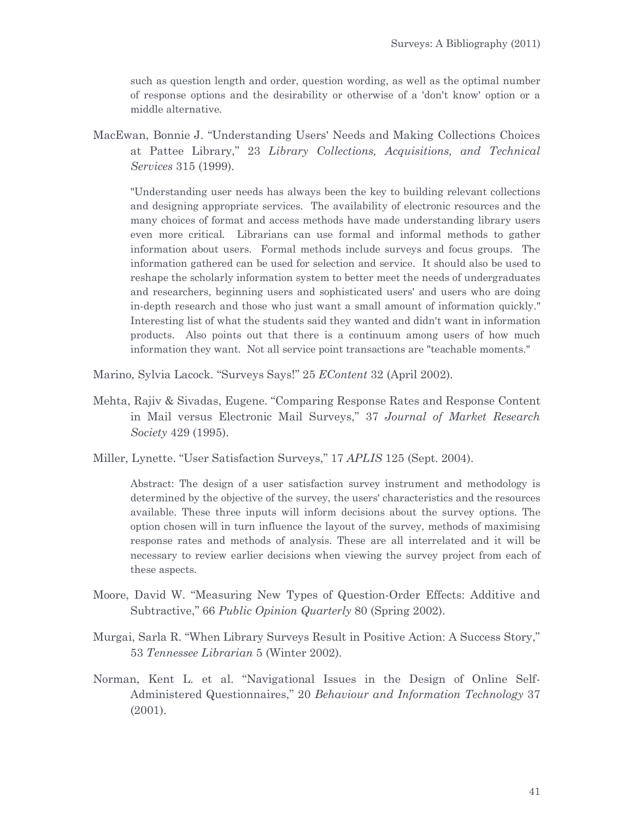such as question length and order, question wording, as well as the optimal number of response options and the desirability or otherwise of a 'don't know' option or a middle alternative.

MacEwan, Bonnie J. "Understanding Users' Needs and Making Collections Choices at Pattee Library," 23 *Library Collections, Acquisitions, and Technical Services* 315 (1999).

"Understanding user needs has always been the key to building relevant collections and designing appropriate services. The availability of electronic resources and the many choices of format and access methods have made understanding library users even more critical. Librarians can use formal and informal methods to gather information about users. Formal methods include surveys and focus groups. The information gathered can be used for selection and service. It should also be used to reshape the scholarly information system to better meet the needs of undergraduates and researchers, beginning users and sophisticated users' and users who are doing in-depth research and those who just want a small amount of information quickly." Interesting list of what the students said they wanted and didn't want in information products. Also points out that there is a continuum among users of how much information they want. Not all service point transactions are "teachable moments."

Marino, Sylvia Lacock. "Surveys Says!" 25 *EContent* 32 (April 2002).

- Mehta, Rajiv & Sivadas, Eugene. "Comparing Response Rates and Response Content in Mail versus Electronic Mail Surveys," 37 *Journal of Market Research Society* 429 (1995).
- Miller, Lynette. "User Satisfaction Surveys," 17 *APLIS* 125 (Sept. 2004).

Abstract: The design of a user satisfaction survey instrument and methodology is determined by the objective of the survey, the users' characteristics and the resources available. These three inputs will inform decisions about the survey options. The option chosen will in turn influence the layout of the survey, methods of maximising response rates and methods of analysis. These are all interrelated and it will be necessary to review earlier decisions when viewing the survey project from each of these aspects.

- Moore, David W. "Measuring New Types of Question-Order Effects: Additive and Subtractive," 66 *Public Opinion Quarterly* 80 (Spring 2002).
- Murgai, Sarla R. "When Library Surveys Result in Positive Action: A Success Story," 53 *Tennessee Librarian* 5 (Winter 2002).
- Norman, Kent L. et al. "Navigational Issues in the Design of Online Self-Administered Questionnaires," 20 *Behaviour and Information Technology* 37 (2001).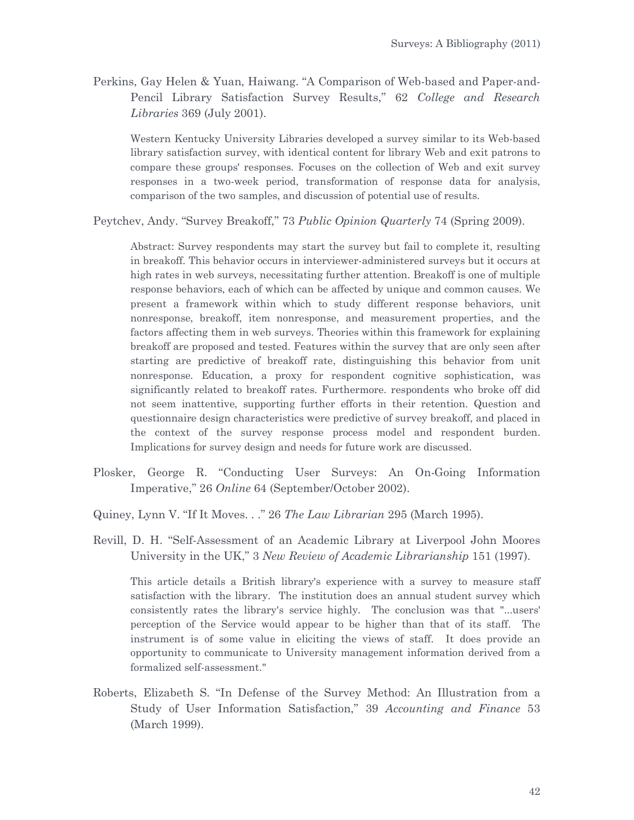Perkins, Gay Helen & Yuan, Haiwang. "A Comparison of Web-based and Paper-and-Pencil Library Satisfaction Survey Results," 62 *College and Research Libraries* 369 (July 2001).

Western Kentucky University Libraries developed a survey similar to its Web-based library satisfaction survey, with identical content for library Web and exit patrons to compare these groups' responses. Focuses on the collection of Web and exit survey responses in a two-week period, transformation of response data for analysis, comparison of the two samples, and discussion of potential use of results.

Peytchev, Andy. "Survey Breakoff," 73 *Public Opinion Quarterly* 74 (Spring 2009).

Abstract: Survey respondents may start the survey but fail to complete it, resulting in breakoff. This behavior occurs in interviewer-administered surveys but it occurs at high rates in web surveys, necessitating further attention. Breakoff is one of multiple response behaviors, each of which can be affected by unique and common causes. We present a framework within which to study different response behaviors, unit nonresponse, breakoff, item nonresponse, and measurement properties, and the factors affecting them in web surveys. Theories within this framework for explaining breakoff are proposed and tested. Features within the survey that are only seen after starting are predictive of breakoff rate, distinguishing this behavior from unit nonresponse. Education, a proxy for respondent cognitive sophistication, was significantly related to breakoff rates. Furthermore. respondents who broke off did not seem inattentive, supporting further efforts in their retention. Question and questionnaire design characteristics were predictive of survey breakoff, and placed in the context of the survey response process model and respondent burden. Implications for survey design and needs for future work are discussed.

Plosker, George R. "Conducting User Surveys: An On-Going Information Imperative," 26 *Online* 64 (September/October 2002).

Quiney, Lynn V. "If It Moves. . ." 26 *The Law Librarian* 295 (March 1995).

Revill, D. H. "Self-Assessment of an Academic Library at Liverpool John Moores University in the UK," 3 *New Review of Academic Librarianship* 151 (1997).

This article details a British library's experience with a survey to measure staff satisfaction with the library. The institution does an annual student survey which consistently rates the library's service highly. The conclusion was that "...users' perception of the Service would appear to be higher than that of its staff. The instrument is of some value in eliciting the views of staff. It does provide an opportunity to communicate to University management information derived from a formalized self-assessment."

Roberts, Elizabeth S. "In Defense of the Survey Method: An Illustration from a Study of User Information Satisfaction," 39 *Accounting and Finance* 53 (March 1999).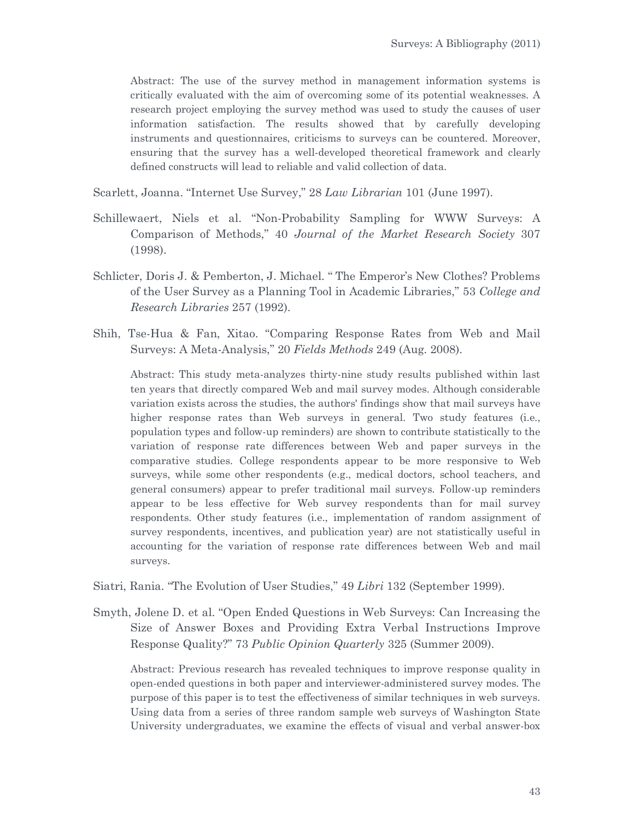Abstract: The use of the survey method in management information systems is critically evaluated with the aim of overcoming some of its potential weaknesses. A research project employing the survey method was used to study the causes of user information satisfaction. The results showed that by carefully developing instruments and questionnaires, criticisms to surveys can be countered. Moreover, ensuring that the survey has a well-developed theoretical framework and clearly defined constructs will lead to reliable and valid collection of data.

Scarlett, Joanna. "Internet Use Survey," 28 *Law Librarian* 101 (June 1997).

- Schillewaert, Niels et al. "Non-Probability Sampling for WWW Surveys: A Comparison of Methods," 40 *Journal of the Market Research Society* 307 (1998).
- Schlicter, Doris J. & Pemberton, J. Michael. " The Emperor's New Clothes? Problems of the User Survey as a Planning Tool in Academic Libraries," 53 *College and Research Libraries* 257 (1992).
- Shih, Tse-Hua & Fan, Xitao. "Comparing Response Rates from Web and Mail Surveys: A Meta-Analysis," 20 *Fields Methods* 249 (Aug. 2008).

Abstract: This study meta-analyzes thirty-nine study results published within last ten years that directly compared Web and mail survey modes. Although considerable variation exists across the studies, the authors' findings show that mail surveys have higher response rates than Web surveys in general. Two study features (i.e., population types and follow-up reminders) are shown to contribute statistically to the variation of response rate differences between Web and paper surveys in the comparative studies. College respondents appear to be more responsive to Web surveys, while some other respondents (e.g., medical doctors, school teachers, and general consumers) appear to prefer traditional mail surveys. Follow-up reminders appear to be less effective for Web survey respondents than for mail survey respondents. Other study features (i.e., implementation of random assignment of survey respondents, incentives, and publication year) are not statistically useful in accounting for the variation of response rate differences between Web and mail surveys.

Siatri, Rania. "The Evolution of User Studies," 49 *Libri* 132 (September 1999).

Smyth, Jolene D. et al. "Open Ended Questions in Web Surveys: Can Increasing the Size of Answer Boxes and Providing Extra Verbal Instructions Improve Response Quality?" 73 *Public Opinion Quarterly* 325 (Summer 2009).

Abstract: Previous research has revealed techniques to improve response quality in open-ended questions in both paper and interviewer-administered survey modes. The purpose of this paper is to test the effectiveness of similar techniques in web surveys. Using data from a series of three random sample web surveys of Washington State University undergraduates, we examine the effects of visual and verbal answer-box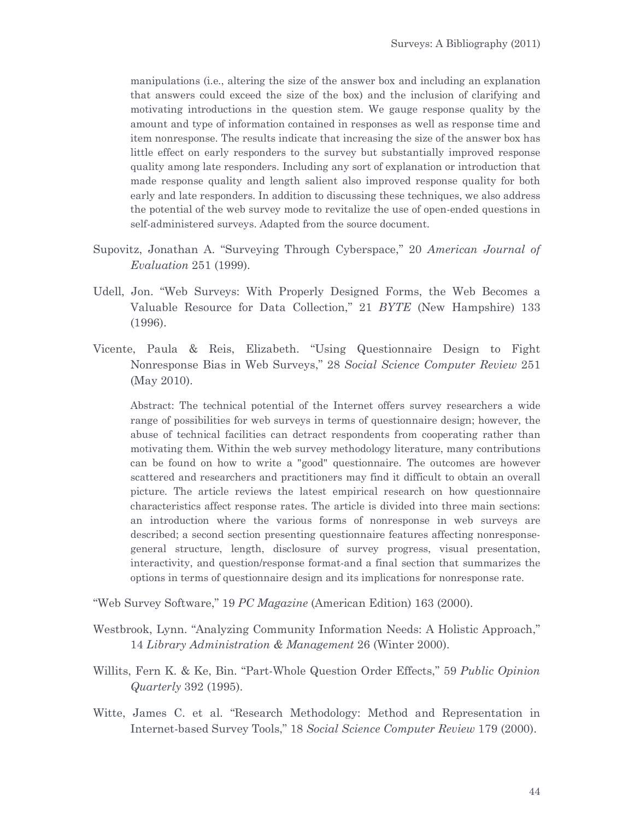manipulations (i.e., altering the size of the answer box and including an explanation that answers could exceed the size of the box) and the inclusion of clarifying and motivating introductions in the question stem. We gauge response quality by the amount and type of information contained in responses as well as response time and item nonresponse. The results indicate that increasing the size of the answer box has little effect on early responders to the survey but substantially improved response quality among late responders. Including any sort of explanation or introduction that made response quality and length salient also improved response quality for both early and late responders. In addition to discussing these techniques, we also address the potential of the web survey mode to revitalize the use of open-ended questions in self-administered surveys. Adapted from the source document.

- Supovitz, Jonathan A. "Surveying Through Cyberspace," 20 *American Journal of Evaluation* 251 (1999).
- Udell, Jon. "Web Surveys: With Properly Designed Forms, the Web Becomes a Valuable Resource for Data Collection," 21 *BYTE* (New Hampshire) 133 (1996).
- Vicente, Paula & Reis, Elizabeth. "Using Questionnaire Design to Fight Nonresponse Bias in Web Surveys," 28 *Social Science Computer Review* 251 (May 2010).

Abstract: The technical potential of the Internet offers survey researchers a wide range of possibilities for web surveys in terms of questionnaire design; however, the abuse of technical facilities can detract respondents from cooperating rather than motivating them. Within the web survey methodology literature, many contributions can be found on how to write a ''good'' questionnaire. The outcomes are however scattered and researchers and practitioners may find it difficult to obtain an overall picture. The article reviews the latest empirical research on how questionnaire characteristics affect response rates. The article is divided into three main sections: an introduction where the various forms of nonresponse in web surveys are described; a second section presenting questionnaire features affecting nonresponsegeneral structure, length, disclosure of survey progress, visual presentation, interactivity, and question/response format-and a final section that summarizes the options in terms of questionnaire design and its implications for nonresponse rate.

"Web Survey Software," 19 *PC Magazine* (American Edition) 163 (2000).

- Westbrook, Lynn. "Analyzing Community Information Needs: A Holistic Approach," 14 *Library Administration & Management* 26 (Winter 2000).
- Willits, Fern K. & Ke, Bin. "Part-Whole Question Order Effects," 59 *Public Opinion Quarterly* 392 (1995).
- Witte, James C. et al. "Research Methodology: Method and Representation in Internet-based Survey Tools," 18 *Social Science Computer Review* 179 (2000).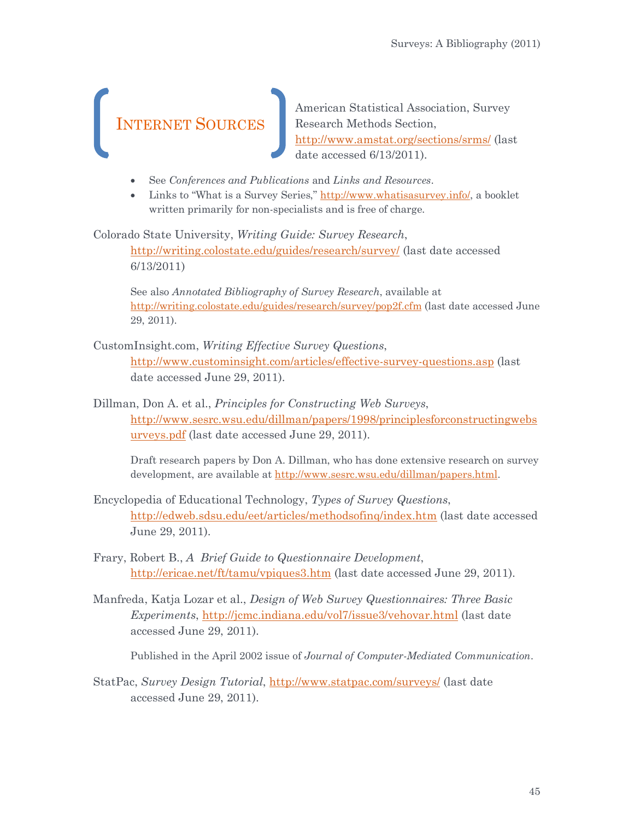# INTERNET SOURCES

American Statistical Association, Survey Research Methods Section, <http://www.amstat.org/sections/srms/> (last date accessed 6/13/2011).

- See *Conferences and Publications* and *Links and Resources*.
- Links to "What is a Survey Series," [http://www.whatisasurvey.info/,](http://www.whatisasurvey.info/) a booklet written primarily for non-specialists and is free of charge.

Colorado State University, *Writing Guide: Survey Research*, <http://writing.colostate.edu/guides/research/survey/> (last date accessed 6/13/2011)

See also *Annotated Bibliography of Survey Research*, available at <http://writing.colostate.edu/guides/research/survey/pop2f.cfm> (last date accessed June 29, 2011).

- CustomInsight.com, *Writing Effective Survey Questions*, <http://www.custominsight.com/articles/effective-survey-questions.asp> (last date accessed June 29, 2011).
- Dillman, Don A. et al., *Principles for Constructing Web Surveys*, [http://www.sesrc.wsu.edu/dillman/papers/1998/principlesforconstructingwebs](http://www.sesrc.wsu.edu/dillman/papers/1998/principlesforconstructingwebsurveys.pdf) [urveys.pdf](http://www.sesrc.wsu.edu/dillman/papers/1998/principlesforconstructingwebsurveys.pdf) (last date accessed June 29, 2011).

Draft research papers by Don A. Dillman, who has done extensive research on survey development, are available at [http://www.sesrc.wsu.edu/dillman/papers.html.](http://www.sesrc.wsu.edu/dillman/papers.html)

- Encyclopedia of Educational Technology, *Types of Survey Questions*, <http://edweb.sdsu.edu/eet/articles/methodsofinq/index.htm> (last date accessed June 29, 2011).
- Frary, Robert B., *A Brief Guide to Questionnaire Development*, <http://ericae.net/ft/tamu/vpiques3.htm> (last date accessed June 29, 2011).
- Manfreda, Katja Lozar et al., *Design of Web Survey Questionnaires: Three Basic Experiments*,<http://jcmc.indiana.edu/vol7/issue3/vehovar.html> (last date accessed June 29, 2011).

Published in the April 2002 issue of *Journal of Computer-Mediated Communication*.

StatPac, *Survey Design Tutorial*,<http://www.statpac.com/surveys/> (last date accessed June 29, 2011).